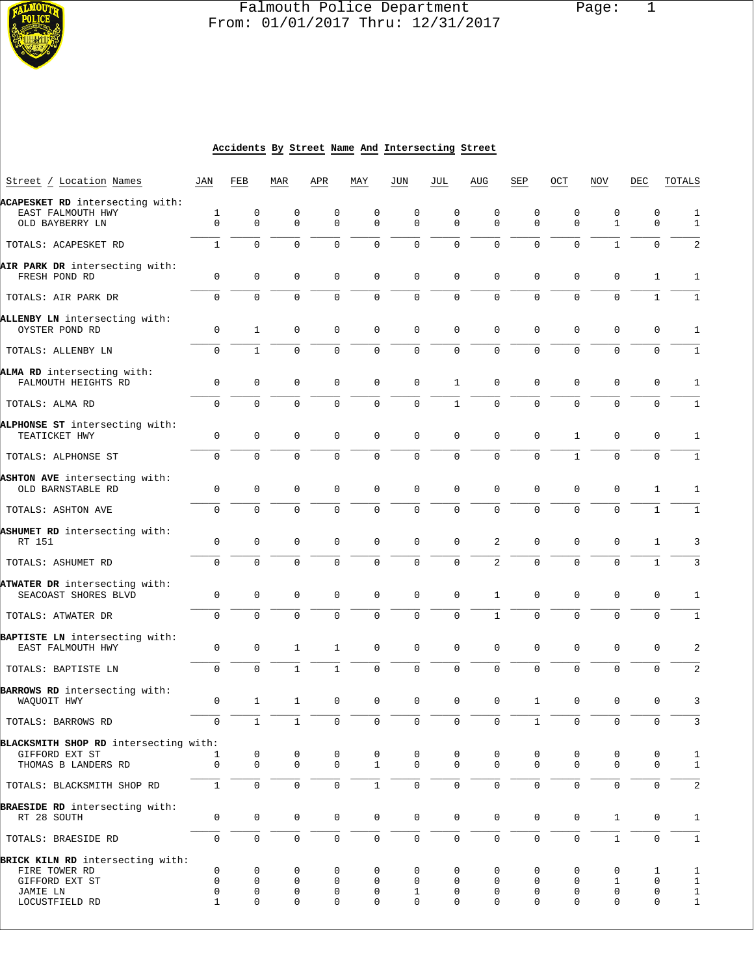

# Falmouth Police Department Page: 1  $\frac{1}{3}$  From: 01/01/2017 Thru: 12/31/2017

#### **Accidents By Street Name And Intersecting Street**

| Street / Location Names                                                 | JAN                     | FEB                         | MAR                        | APR                     | MAY                 | JUN                        | JUL                        | AUG              | SEP                        | OCT              | <b>NOV</b>              | DEC                        | TOTALS                       |
|-------------------------------------------------------------------------|-------------------------|-----------------------------|----------------------------|-------------------------|---------------------|----------------------------|----------------------------|------------------|----------------------------|------------------|-------------------------|----------------------------|------------------------------|
| ACAPESKET RD intersecting with:<br>EAST FALMOUTH HWY<br>OLD BAYBERRY LN | 1<br>$\Omega$           | 0<br>$\Omega$               | 0<br>$\Omega$              | 0<br>$\Omega$           | 0<br>$\Omega$       | 0<br>$\Omega$              | 0<br>$\Omega$              | 0<br>$\Omega$    | 0<br>$\Omega$              | 0<br>$\mathbf 0$ | 0<br>$\mathbf{1}$       | 0<br>$\Omega$              | 1<br>$\mathbf{1}$            |
| TOTALS: ACAPESKET RD                                                    | $\mathbf{1}$            | $\Omega$                    | $\Omega$                   | $\Omega$                | $\Omega$            | $\Omega$                   | $\Omega$                   | $\Omega$         | $\Omega$                   | $\mathbf 0$      | $\mathbf{1}$            | $\Omega$                   | 2                            |
| AIR PARK DR intersecting with:                                          |                         |                             |                            |                         |                     |                            |                            |                  |                            |                  |                         |                            |                              |
| FRESH POND RD                                                           | $\mathbf 0$<br>$\Omega$ | $\mathbf{0}$<br>$\mathbf 0$ | $\mathbf 0$<br>$\mathbf 0$ | $\mathbf 0$<br>$\Omega$ | $\mathbf 0$<br>0    | $\mathbf 0$<br>$\mathbf 0$ | $\mathbf 0$<br>$\mathbf 0$ | $\mathbf 0$<br>0 | $\mathbf 0$<br>$\mathbf 0$ | $\mathbf 0$<br>0 | $\mathbf 0$<br>$\Omega$ | 1<br>$\mathbf{1}$          | 1<br>1                       |
| TOTALS: AIR PARK DR                                                     |                         |                             |                            |                         |                     |                            |                            |                  |                            |                  |                         |                            |                              |
| ALLENBY LN intersecting with:<br>OYSTER POND RD                         | 0                       | $\mathbf{1}$                | 0                          | 0                       | 0                   | $\mathbf 0$                | $\mathbf 0$                | $\mathbf 0$      | 0                          | $\mathbf 0$      | $\mathbf 0$             | 0                          | 1                            |
| TOTALS: ALLENBY LN                                                      | $\Omega$                | $\mathbf{1}$                | $\mathbf 0$                | $\Omega$                | $\mathbf{0}$        | $\mathbf 0$                | $\mathbf 0$                | 0                | $\Omega$                   | $\mathbf 0$      | $\Omega$                | 0                          | $\mathbf{1}$                 |
| ALMA RD intersecting with:<br>FALMOUTH HEIGHTS RD                       | $\mathsf{O}$            | $\mathbf 0$                 | $\mathbf 0$                | $\mathbf 0$             | $\mathbf 0$         | $\mathbf 0$                | $\mathbf{1}$               | $\mathbf 0$      | $\mathbf 0$                | $\mathbf 0$      | $\mathbf 0$             | $\mathbf 0$                | $\mathbf{1}$                 |
| TOTALS: ALMA RD                                                         | 0                       | $\mathbf{0}$                | $\mathbf 0$                | 0                       | $\mathbf{0}$        | 0                          | $\mathbf{1}$               | 0                | $\mathbf 0$                | $\mathbf 0$      | 0                       | 0                          | 1                            |
| ALPHONSE ST intersecting with:<br>TEATICKET HWY                         | 0                       | $\mathbf 0$                 | $\mathbf 0$                | 0                       | 0                   | 0                          | $\mathbf 0$                | 0                | $\mathbf 0$                | $\mathbf{1}$     | 0                       | $\mathbf 0$                | 1                            |
| TOTALS: ALPHONSE ST                                                     | 0                       | 0                           | $\Omega$                   | $\Omega$                | 0                   | $\mathbf 0$                | $\mathbf 0$                | 0                | $\mathbf 0$                | $\mathbf{1}$     | $\Omega$                | 0                          | $\mathbf{1}$                 |
| ASHTON AVE intersecting with:<br>OLD BARNSTABLE RD                      | 0                       | 0                           | $\mathbf 0$                | 0                       | $\mathbf 0$         | $\mathbf 0$                | $\mathbf 0$                | $\mathbf 0$      | 0                          | $\mathbf 0$      | $\mathbf 0$             | 1                          | 1                            |
| TOTALS: ASHTON AVE                                                      | 0                       | $\Omega$                    | $\Omega$                   | $\Omega$                | $\mathbf 0$         | $\Omega$                   | $\Omega$                   | $\Omega$         | $\Omega$                   | $\Omega$         | $\Omega$                | $\mathbf{1}$               | 1                            |
| ASHUMET RD intersecting with:<br>RT 151                                 | 0                       | 0                           | $\mathbf 0$                | $\Omega$                | 0                   | $\mathbf 0$                | $\mathbf 0$                | 2                | 0                          | $\mathbf 0$      | $\mathbf 0$             | 1                          | 3                            |
| TOTALS: ASHUMET RD                                                      | $\mathbf 0$             | $\mathbf 0$                 | $\mathbf 0$                | 0                       | $\mathbf 0$         | $\mathbf 0$                | $\mathbf 0$                | 2                | $\mathbf 0$                | $\mathbf 0$      | 0                       | $\mathbf{1}$               | 3                            |
| ATWATER DR intersecting with:<br>SEACOAST SHORES BLVD                   | 0                       | $\mathbf 0$                 | $\mathbf 0$                | 0                       | $\mathbf 0$         | $\mathbf 0$                | $\mathbf 0$                | 1                | 0                          | $\mathbf 0$      | $\mathbf 0$             | 0                          | 1                            |
| TOTALS: ATWATER DR                                                      | $\Omega$                | $\Omega$                    | $\Omega$                   | $\Omega$                | $\Omega$            | $\Omega$                   | $\mathbf 0$                | $\mathbf{1}$     | $\mathbf 0$                | $\Omega$         | $\Omega$                | 0                          | $\mathbf{1}$                 |
| BAPTISTE LN intersecting with:<br>EAST FALMOUTH HWY                     | 0                       | $\mathbf 0$                 | $\mathbf{1}$               | $\mathbf{1}$            | $\mathbf 0$         | $\mathbf 0$                | $\mathbf 0$                | $\mathbf 0$      | 0                          | $\mathbf 0$      | $\mathbf 0$             | $\mathbf 0$                | 2                            |
| TOTALS: BAPTISTE LN                                                     | $\mathbf 0$             | $\mathbf{0}$                | $\mathbf{1}$               | 1                       | $\mathbf{0}$        | $\mathbf 0$                | $\mathbf 0$                | $\mathbf{0}$     | $\mathbf 0$                | $\mathbf 0$      | 0                       | $\mathbf 0$                | 2                            |
| BARROWS RD intersecting with:<br>WAQUOIT HWY                            | 0                       | 1                           | 1                          | 0                       | 0                   | 0                          | $\mathbf 0$                | 0                | 1                          | $\mathbf 0$      | 0                       | 0                          | 3                            |
| TOTALS: BARROWS RD                                                      | $\mathbf 0$             | $\mathbf{1}$                | $\mathbf{1}$               | $\mathbf 0$             | $\mathbf 0$         | $\mathbf 0$                | $\mathbf 0$                | $\mathbf 0$      | $\mathbf{1}$               | $\mathbf{0}$     | $\mathbf 0$             | 0                          | 3                            |
| BLACKSMITH SHOP RD intersecting with:                                   |                         |                             |                            |                         |                     |                            |                            |                  |                            |                  |                         |                            |                              |
| GIFFORD EXT ST<br>THOMAS B LANDERS RD                                   | 1<br>$\mathbf 0$        | 0<br>$\mathbf 0$            | 0<br>$\mathbf 0$           | 0<br>$\mathbf 0$        | 0<br>$\mathbf{1}$   | 0<br>$\mathbf 0$           | 0<br>$\Omega$              | 0<br>$\mathbf 0$ | 0<br>$\mathbf 0$           | 0<br>$\mathbf 0$ | 0<br>$\mathbf 0$        | 0<br>$\mathbf 0$           | 1<br>$1\,$                   |
| TOTALS: BLACKSMITH SHOP RD                                              | $1\,$                   | $\mathsf 0$                 | $\mathsf{O}\xspace$        | 0                       | $\mathbf{1}$        | $\mathsf{O}\xspace$        | $\mathsf{O}\xspace$        | $\mathbf 0$      | 0                          | $\mathsf 0$      | $\mathsf{O}$            | 0                          | $\sqrt{2}$                   |
| BRAESIDE RD intersecting with:<br>RT 28 SOUTH                           | 0                       | 0                           | $\mathbf 0$                | 0                       | 0                   | 0                          | $\mathbf 0$                | $\mathbf 0$      | $\mathbf 0$                | $\mathbf 0$      | $\mathbf{1}$            | $\mathbf 0$                | $\mathbf{1}$                 |
| TOTALS: BRAESIDE RD                                                     | 0                       | $\mathsf{O}$                | $\mathsf{O}\xspace$        | 0                       | $\mathsf{O}\xspace$ | $\mathsf{O}\xspace$        | $\mathsf{O}\xspace$        | $\mathbf 0$      | $\mathsf{O}\xspace$        | $\mathsf 0$      | $\mathbf 1$             | $\mathsf{O}\xspace$        | $\mathbf 1$                  |
| BRICK KILN RD intersecting with:<br>FIRE TOWER RD                       | 0                       | 0                           | 0                          | 0                       | 0                   | 0                          | 0                          | 0                | 0                          | 0                | 0                       |                            |                              |
| GIFFORD EXT ST                                                          | $\mathbf 0$             | 0                           | $\mathbf 0$                | 0                       | $\mathbf 0$         | 0                          | $\mathbf 0$                | $\mathbf 0$      | 0                          | 0                | 1                       | 1<br>$\mathbf 0$           | 1<br>1                       |
| JAMIE LN<br>LOCUSTFIELD RD                                              | 0<br>$\mathbf{1}$       | 0<br>0                      | 0<br>$\mathbf 0$           | 0<br>0                  | 0<br>0              | $\mathbf{1}$<br>0          | 0<br>$\mathbf 0$           | 0<br>$\Omega$    | 0<br>0                     | 0<br>$\mathbf 0$ | 0<br>0                  | $\mathbf 0$<br>$\mathbf 0$ | $\mathbf{1}$<br>$\mathbf{1}$ |
|                                                                         |                         |                             |                            |                         |                     |                            |                            |                  |                            |                  |                         |                            |                              |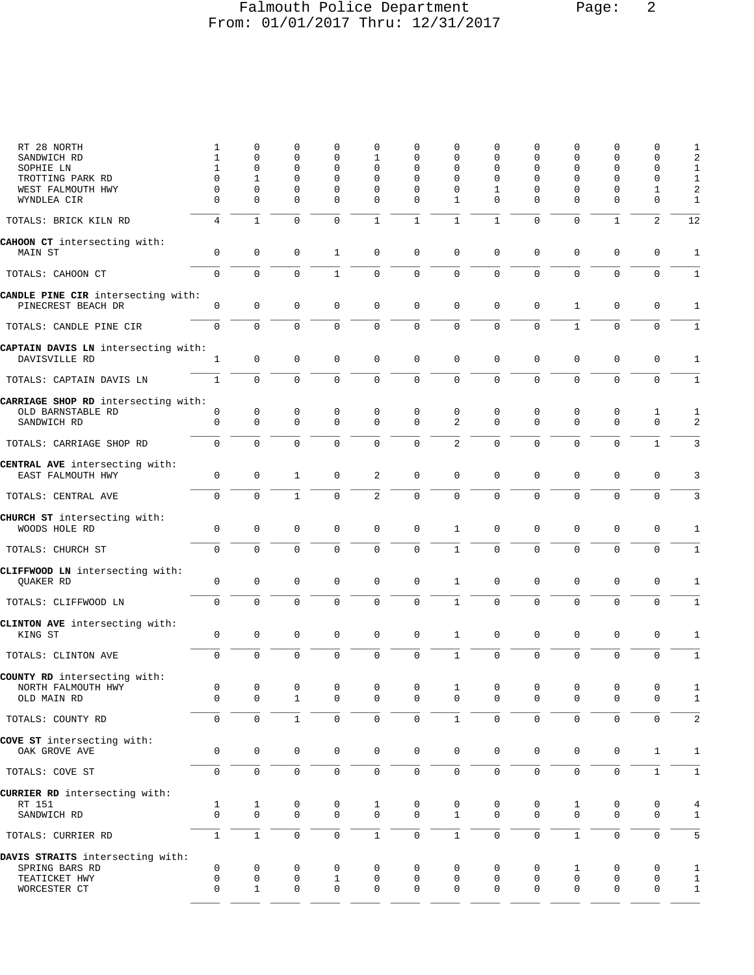## Falmouth Police Department Page: 2 From: 01/01/2017 Thru: 12/31/2017

| RT 28 NORTH<br>SANDWICH RD<br>SOPHIE LN<br>TROTTING PARK RD<br>WEST FALMOUTH HWY<br>WYNDLEA CIR | 1<br>$\mathbf{1}$<br>1<br>$\Omega$<br>0<br>$\Omega$ | 0<br>0<br>0<br>$\mathbf{1}$<br>0<br>$\Omega$ | 0<br>$\mathbf 0$<br>0<br>$\Omega$<br>$\mathbf 0$<br>$\mathbf 0$ | 0<br>0<br>$\mathbf 0$<br>0<br>$\mathbf 0$<br>$\mathbf 0$ | 0<br>1<br>$\Omega$<br>$\Omega$<br>$\mathbf 0$<br>$\mathbf{0}$ | 0<br>0<br>0<br>$\Omega$<br>0<br>0 | $\mathbf 0$<br>$\mathbf 0$<br>$\mathbf 0$<br>$\Omega$<br>$\mathbf 0$<br>1 | 0<br>0<br>0<br>$\Omega$<br>$\mathbf{1}$<br>0 | 0<br>0<br>0<br>$\Omega$<br>0<br>$\Omega$ | 0<br>$\mathbf 0$<br>$\mathbf 0$<br>$\Omega$<br>$\mathbf 0$<br>$\mathbf 0$ | 0<br>0<br>0<br>$\Omega$<br>$\mathbf 0$<br>$\Omega$ | 0<br>0<br>0<br>0<br>$\mathbf{1}$<br>$\mathbf 0$ | 1<br>2<br>1<br>1<br>$\sqrt{2}$<br>1 |
|-------------------------------------------------------------------------------------------------|-----------------------------------------------------|----------------------------------------------|-----------------------------------------------------------------|----------------------------------------------------------|---------------------------------------------------------------|-----------------------------------|---------------------------------------------------------------------------|----------------------------------------------|------------------------------------------|---------------------------------------------------------------------------|----------------------------------------------------|-------------------------------------------------|-------------------------------------|
| TOTALS: BRICK KILN RD                                                                           | 4                                                   | $\mathbf{1}$                                 | $\mathbf 0$                                                     | $\mathbf 0$                                              | $\mathbf{1}$                                                  | $\mathbf{1}$                      | $1\,$                                                                     | $\mathbf{1}$                                 | $\Omega$                                 | $\mathbf{0}$                                                              | $\mathbf{1}$                                       | $\overline{\mathbf{c}}$                         | 12                                  |
| CAHOON CT intersecting with:<br>MAIN ST                                                         | 0                                                   | 0                                            | $\mathbf 0$                                                     | $\mathbf{1}$                                             | $\mathbf{0}$                                                  | 0                                 | $\mathbf 0$                                                               | 0                                            | $\mathbf 0$                              | $\mathbf 0$                                                               | $\mathbf 0$                                        | 0                                               | 1                                   |
| TOTALS: CAHOON CT                                                                               | $\mathbf 0$                                         | $\mathsf 0$                                  | $\mathbf 0$                                                     | $\mathbf{1}$                                             | $\mathsf 0$                                                   | $\mathbf 0$                       | $\mathsf 0$                                                               | 0                                            | $\mathsf 0$                              | $\mathbf 0$                                                               | $\mathbf 0$                                        | $\mathbf 0$                                     | 1                                   |
| CANDLE PINE CIR intersecting with:                                                              |                                                     |                                              |                                                                 |                                                          |                                                               |                                   |                                                                           |                                              |                                          |                                                                           |                                                    |                                                 |                                     |
| PINECREST BEACH DR<br>TOTALS: CANDLE PINE CIR                                                   | 0<br>$\mathbf 0$                                    | $\mathsf 0$<br>0                             | $\mathsf 0$<br>$\mathbf 0$                                      | 0<br>$\Omega$                                            | $\mathsf 0$<br>$\mathbf 0$                                    | $\mathbf 0$<br>$\mathbf 0$        | $\mathbf 0$<br>$\mathbf 0$                                                | $\mathbf 0$<br>0                             | 0<br>$\mathbf 0$                         | $\mathbf{1}$<br>$\mathbf{1}$                                              | $\mathbf 0$<br>0                                   | 0<br>0                                          | 1<br>1                              |
| CAPTAIN DAVIS LN intersecting with:<br>DAVISVILLE RD                                            | 1                                                   | $\mathbf 0$                                  | $\mathbf 0$                                                     | 0                                                        | $\mathsf 0$                                                   | $\mathbf 0$                       | $\mathbf 0$                                                               | 0                                            | $\mathsf 0$                              | $\mathbf 0$                                                               | $\mathbf 0$                                        | $\mathbf 0$                                     | $\mathbf{1}$                        |
| TOTALS: CAPTAIN DAVIS LN                                                                        | $1\,$                                               | $\mathbf 0$                                  | $\mathbf 0$                                                     | $\mathbf 0$                                              | $\mathbf 0$                                                   | $\mathbf 0$                       | $\mathbf 0$                                                               | 0                                            | $\mathbf 0$                              | $\mathbf 0$                                                               | $\mathbf 0$                                        | $\mathbf 0$                                     | $\mathbf{1}$                        |
| CARRIAGE SHOP RD intersecting with:                                                             |                                                     |                                              |                                                                 |                                                          |                                                               |                                   |                                                                           |                                              |                                          |                                                                           |                                                    |                                                 |                                     |
| OLD BARNSTABLE RD<br>SANDWICH RD                                                                | 0<br>0                                              | 0<br>$\mathbf{0}$                            | 0<br>$\Omega$                                                   | 0<br>$\mathbf 0$                                         | 0<br>$\mathbf{0}$                                             | $\mathbf 0$<br>$\mathbf 0$        | $\mathbf 0$<br>$\overline{a}$                                             | 0<br>$\Omega$                                | 0<br>$\Omega$                            | 0<br>$\Omega$                                                             | 0<br>$\Omega$                                      | 1<br>$\mathbf 0$                                | 1<br>2                              |
| TOTALS: CARRIAGE SHOP RD                                                                        | 0                                                   | $\Omega$                                     | $\Omega$                                                        | $\Omega$                                                 | $\Omega$                                                      | $\mathbf 0$                       | 2                                                                         | $\Omega$                                     | $\Omega$                                 | $\mathbf{0}$                                                              | 0                                                  | $\mathbf{1}$                                    | 3                                   |
| CENTRAL AVE intersecting with:<br>EAST FALMOUTH HWY                                             | 0                                                   | 0                                            | $\mathbf{1}$                                                    | $\mathbf 0$                                              | 2                                                             | $\mathbf 0$                       | $\mathbf 0$                                                               | $\mathbf 0$                                  | $\mathsf 0$                              | $\mathbf 0$                                                               | $\mathbf 0$                                        | 0                                               | 3                                   |
| TOTALS: CENTRAL AVE                                                                             | 0                                                   | $\mathbf 0$                                  | $1\,$                                                           | 0                                                        | $\overline{2}$                                                | $\mathsf{O}\xspace$               | $\mathsf 0$                                                               | 0                                            | $\mathbf 0$                              | $\mathbf 0$                                                               | $\mathbf 0$                                        | 0                                               | 3                                   |
| CHURCH ST intersecting with:<br>WOODS HOLE RD                                                   | 0                                                   | $\mathsf 0$                                  | $\mathbf 0$                                                     | 0                                                        | $\mathsf 0$                                                   | $\mathbf 0$                       | $\mathbf{1}$                                                              | 0                                            | $\mathsf 0$                              | $\mathbf 0$                                                               | $\mathsf 0$                                        | $\mathbf 0$                                     | 1                                   |
| TOTALS: CHURCH ST                                                                               | $\mathbf 0$                                         | 0                                            | $\mathbf 0$                                                     | $\mathbf 0$                                              | $\mathbf 0$                                                   | $\mathbf 0$                       | $\mathbf{1}$                                                              | 0                                            | $\mathbf 0$                              | $\mathbf 0$                                                               | 0                                                  | $\mathbf 0$                                     | $\mathbf{1}$                        |
| CLIFFWOOD LN intersecting with:<br>QUAKER RD                                                    | 0                                                   | $\mathsf 0$                                  | $\mathbf 0$                                                     | 0                                                        | $\mathbf 0$                                                   | $\mathsf{O}\xspace$               | $\mathbf{1}$                                                              | $\mathbf 0$                                  | 0                                        | $\mathbf 0$                                                               | $\mathbf 0$                                        | $\mathbf 0$                                     | 1                                   |
| TOTALS: CLIFFWOOD LN                                                                            | 0                                                   | 0                                            | $\mathbf 0$                                                     | 0                                                        | $\mathbf 0$                                                   | $\mathbf 0$                       | $\mathbf{1}$                                                              | $\mathbf{0}$                                 | $\mathbf 0$                              | $\mathbf{0}$                                                              | $\mathbf 0$                                        | 0                                               | 1                                   |
| CLINTON AVE intersecting with:<br>KING ST                                                       | 0                                                   | 0                                            | $\mathbf 0$                                                     | 0                                                        | $\mathbf 0$                                                   | 0                                 | 1                                                                         | 0                                            | 0                                        | $\mathbf 0$                                                               | $\mathbf 0$                                        | 0                                               | 1                                   |
| TOTALS: CLINTON AVE                                                                             | 0                                                   | 0                                            | $\mathbf 0$                                                     | 0                                                        | $\mathbf{0}$                                                  | $\mathbf 0$                       | $1\,$                                                                     | 0                                            | $\mathbf 0$                              | $\mathbf 0$                                                               | $\mathbf 0$                                        | $\mathsf 0$                                     | 1                                   |
| COUNTY RD intersecting with:<br>NORTH FALMOUTH HWY<br>OLD MAIN RD                               | 0<br>0                                              | 0<br>0                                       | 0<br>$\mathbf 1$                                                | 0<br>0                                                   | 0<br>$\mathsf 0$                                              | $\overline{0}$<br>0               | $\mathbf{1}$<br>$\mathsf 0$                                               | $\mathbf 0$<br>$\mathbf 0$                   | 0<br>0                                   | 0<br>0                                                                    | 0<br>0                                             | 0<br>0                                          | 1<br>$\mathbf{1}$                   |
| TOTALS: COUNTY RD                                                                               | 0                                                   | 0                                            | $\mathbf 1$                                                     | 0                                                        | $\mathsf{O}$                                                  | $\mathsf{O}\xspace$               | $\mathbf 1$                                                               | $\mathbf 0$                                  | $\mathsf 0$                              | $\mathsf 0$                                                               | 0                                                  | 0                                               | $\overline{2}$                      |
| COVE ST intersecting with:<br>OAK GROVE AVE                                                     | 0                                                   | $\mathsf{O}\xspace$                          | $\mathbf 0$                                                     | 0                                                        | $\mathsf{O}\xspace$                                           | $\mathsf{O}\xspace$               | $\mathbb O$                                                               | $\mathsf{O}\xspace$                          | $\mathbb O$                              | $\mathsf 0$                                                               | $\mathbb O$                                        | $\mathbf{1}$                                    | $\mathbf{1}$                        |
| TOTALS: COVE ST                                                                                 | 0                                                   | $\mathsf{O}$                                 | $\mathsf 0$                                                     | 0                                                        | $\mathsf{O}\xspace$                                           | $\mathsf{O}\xspace$               | $\mathbf 0$                                                               | $\mathsf{O}\xspace$                          | $\mathsf 0$                              | $\mathsf 0$                                                               | $\mathsf{O}\xspace$                                | $\mathbf{1}$                                    | $1\,$                               |
| CURRIER RD intersecting with:<br>RT 151<br>SANDWICH RD                                          | 1<br>$\mathbf 0$                                    | $\mathbf{1}$<br>0                            | 0<br>$\mathbf 0$                                                | 0<br>0                                                   | $\mathbf{1}$<br>0                                             | 0<br>0                            | 0<br>$\mathbf{1}$                                                         | 0<br>$\mathbf 0$                             | 0<br>0                                   | 1<br>$\mathbf 0$                                                          | 0<br>$\mathbf 0$                                   | 0<br>$\mathbf 0$                                | $\,4$<br>1                          |
| TOTALS: CURRIER RD                                                                              | $\mathbf{1}$                                        | $\mathbf{1}$                                 | $\mathbf 0$                                                     | $\mathbf 0$                                              | $\mathbf{1}$                                                  | $\mathsf{O}\xspace$               | $\mathbf{1}$                                                              | 0                                            | $\mathbf 0$                              | $\mathbf{1}$                                                              | $\mathbf 0$                                        | 0                                               | 5                                   |
| DAVIS STRAITS intersecting with:<br>SPRING BARS RD<br>TEATICKET HWY<br>WORCESTER CT             | 0<br>0<br>0                                         | 0<br>0<br>$\mathbf{1}$                       | 0<br>$\mathsf{O}\xspace$<br>0                                   | 0<br>$\mathbf{1}$<br>0                                   | 0<br>$\mathsf{0}$<br>$\mathsf{0}$                             | 0<br>0<br>0                       | 0<br>$\mathsf{O}$<br>$\mathbf 0$                                          | 0<br>$\mathbf 0$<br>$\mathbf 0$              | 0<br>$\mathsf 0$<br>0                    | 1<br>$\mathsf{O}\xspace$<br>0                                             | 0<br>$\mathbf 0$<br>0                              | 0<br>$\mathsf{O}\xspace$<br>0                   | 1<br>1<br>1                         |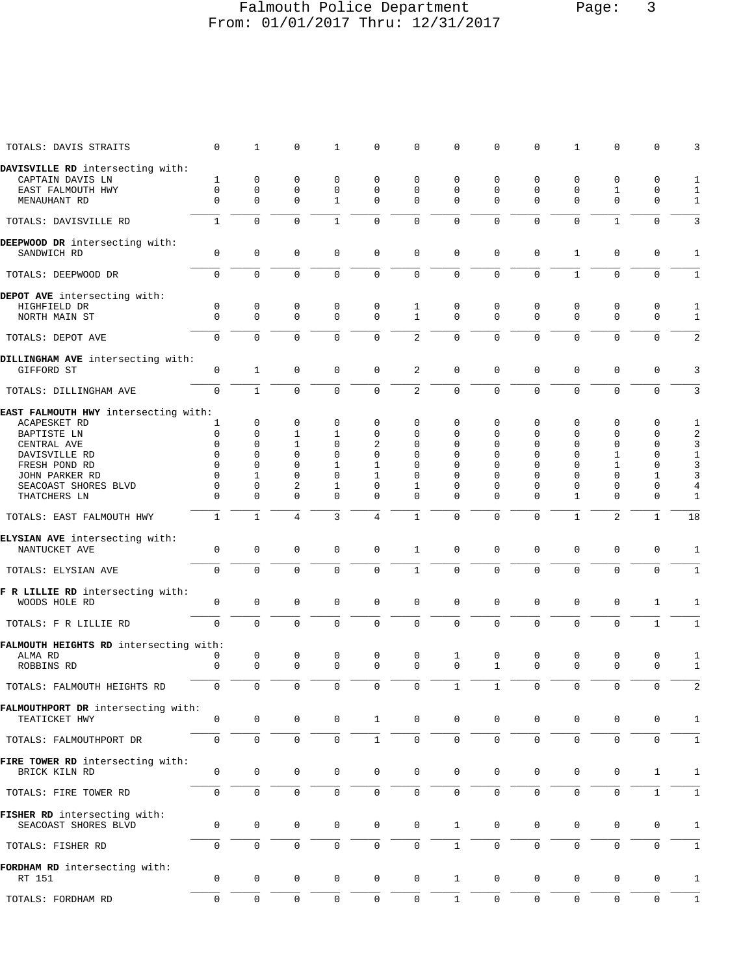#### Falmouth Police Department Page: 3 From: 01/01/2017 Thru: 12/31/2017

| TOTALS: DAVIS STRAITS                                | $\Omega$         | 1                 | 0                   | 1                   | $\Omega$            | $\Omega$            | 0                | $\Omega$            | $\Omega$      | 1             | $\mathbf 0$         | $\Omega$            | 3                 |
|------------------------------------------------------|------------------|-------------------|---------------------|---------------------|---------------------|---------------------|------------------|---------------------|---------------|---------------|---------------------|---------------------|-------------------|
| DAVISVILLE RD intersecting with:                     |                  |                   |                     |                     |                     |                     |                  |                     |               |               |                     |                     |                   |
| CAPTAIN DAVIS LN                                     | 1                | 0                 | 0                   | $\mathbf 0$         | $\Omega$            | $\Omega$            | $\Omega$         | 0                   | 0             | 0             | 0                   | $\mathbf 0$         | 1                 |
| EAST FALMOUTH HWY                                    | $\Omega$         | 0                 | $\mathbf 0$         | $\mathbf 0$         | 0                   | $\mathbf 0$         | $\Omega$         | $\Omega$            | $\Omega$      | $\mathbf 0$   | 1                   | $\mathbf 0$         | $\mathbf{1}$      |
| MENAUHANT RD                                         | $\Omega$         | $\Omega$          | $\Omega$            | $\mathbf{1}$        | $\Omega$            | $\Omega$            | $\Omega$         | $\Omega$            | $\Omega$      | $\Omega$      | $\Omega$            | $\Omega$            | $\mathbf{1}$      |
| TOTALS: DAVISVILLE RD                                | $\mathbf{1}$     | $\Omega$          | $\Omega$            | $\mathbf{1}$        | $\Omega$            | $\Omega$            | $\mathbf 0$      | $\Omega$            | $\Omega$      | $\Omega$      | $\mathbf{1}$        | $\Omega$            | 3                 |
| DEEPWOOD DR intersecting with:                       |                  |                   |                     |                     |                     |                     |                  |                     |               |               |                     |                     |                   |
| SANDWICH RD                                          | $\mathbf 0$      | $\mathbf 0$       | $\mathbf 0$         | $\mathbf 0$         | $\mathbf 0$         | $\mathbf 0$         | $\mathbf 0$      | $\mathbf 0$         | $\mathbf 0$   | 1             | $\mathbf 0$         | $\mathbf 0$         | 1                 |
| TOTALS: DEEPWOOD DR                                  | $\Omega$         | $\Omega$          | $\Omega$            | $\Omega$            | $\Omega$            | $\mathbf 0$         | $\mathbf 0$      | $\mathbf 0$         | $\Omega$      | $\mathbf{1}$  | $\Omega$            | $\Omega$            | $\mathbf{1}$      |
|                                                      |                  |                   |                     |                     |                     |                     |                  |                     |               |               |                     |                     |                   |
| DEPOT AVE intersecting with:                         |                  |                   |                     |                     |                     |                     |                  |                     |               |               |                     |                     |                   |
| HIGHFIELD DR                                         | $\mathbf 0$      | 0                 | $\mathbf 0$         | $\mathbf{0}$        | 0                   | 1                   | $\mathbf 0$      | $\mathbf 0$         | 0             | 0             | $\mathbf 0$         | $\mathbf 0$         | $\mathbf{1}$      |
| NORTH MAIN ST                                        | $\Omega$         | $\Omega$          | $\mathbf 0$         | $\mathbf 0$         | $\mathbf 0$         | $\mathbf{1}$        | $\mathbf 0$      | $\Omega$            | $\Omega$      | $\Omega$      | $\mathbf 0$         | $\Omega$            | $\mathbf{1}$      |
| TOTALS: DEPOT AVE                                    | $\Omega$         | $\Omega$          | $\Omega$            | $\Omega$            | $\Omega$            | 2                   | $\Omega$         | 0                   | $\Omega$      | $\Omega$      | $\Omega$            | $\Omega$            | 2                 |
| DILLINGHAM AVE intersecting with:                    |                  |                   |                     |                     |                     |                     |                  |                     |               |               |                     |                     |                   |
| GIFFORD ST                                           | $\mathbf 0$      | $\mathbf{1}$      | $\mathbf 0$         | $\mathbf 0$         | $\mathbf 0$         | $\overline{c}$      | $\mathbf 0$      | $\mathbf 0$         | $\mathbf 0$   | $\mathbf 0$   | $\mathbf 0$         | $\mathbf 0$         | 3                 |
| TOTALS: DILLINGHAM AVE                               | 0                | $\mathbf{1}$      | $\mathbf 0$         | $\mathbf 0$         | $\mathbf{0}$        | 2                   | $\mathbf 0$      | 0                   | $\Omega$      | $\Omega$      | $\mathbf 0$         | $\mathbf 0$         | 3                 |
|                                                      |                  |                   |                     |                     |                     |                     |                  |                     |               |               |                     |                     |                   |
| EAST FALMOUTH HWY intersecting with:                 |                  | 0                 | 0                   | 0                   | 0                   | 0                   | $\Omega$         | 0                   | $\Omega$      | 0             | 0                   | 0                   |                   |
| ACAPESKET RD                                         | 1                | $\Omega$          |                     |                     |                     | $\Omega$            | $\Omega$         |                     | $\Omega$      | $\Omega$      | $\Omega$            |                     | 1                 |
| BAPTISTE LN                                          | 0                |                   | 1                   | 1                   | 0                   |                     |                  | 0                   |               |               |                     | 0                   | 2                 |
| CENTRAL AVE                                          | $\Omega$         | $\Omega$          | 1                   | $\Omega$            | $\overline{a}$      | $\Omega$            | 0                | 0                   | $\Omega$      | $\Omega$      | $\Omega$            | 0                   | $\mathsf 3$       |
| DAVISVILLE RD                                        | $\Omega$         | $\Omega$          | $\Omega$            | $\Omega$            | $\Omega$            | $\Omega$            | $\Omega$         | $\Omega$            | $\Omega$      | $\Omega$      | $\mathbf{1}$        | $\Omega$            | $\mathbf{1}$      |
| FRESH POND RD                                        | $\Omega$         | $\Omega$          | $\Omega$            | 1                   | 1                   | $\Omega$            | $\Omega$         | $\Omega$            | $\Omega$      | $\Omega$      | 1                   | 0                   | $\mathsf{3}$      |
| JOHN PARKER RD                                       | $\Omega$         | 1                 | $\Omega$            | $\Omega$            | 1                   | $\Omega$            | $\Omega$         | $\Omega$            | $\Omega$      | $\Omega$      | $\Omega$            | 1                   | 3                 |
| SEACOAST SHORES BLVD                                 | $\Omega$         | $\Omega$          | 2                   | $\mathbf{1}$        | $\Omega$            | 1                   | $\Omega$         | $\Omega$            | $\Omega$      | $\Omega$      | $\Omega$            | $\Omega$            | $\overline{4}$    |
| THATCHERS LN                                         | $\Omega$         | $\Omega$          | $\Omega$            | $\Omega$            | $\Omega$            | $\Omega$            | $\Omega$         | $\Omega$            | $\Omega$      | $\mathbf{1}$  | $\Omega$            | $\Omega$            | $\mathbf{1}$      |
| TOTALS: EAST FALMOUTH HWY                            | $\mathbf{1}$     | $\mathbf{1}$      | 4                   | $\overline{3}$      | 4                   | $\mathbf{1}$        | $\mathbf 0$      | $\mathbf 0$         | $\Omega$      | $\mathbf{1}$  | $\overline{2}$      | $\mathbf{1}$        | 18                |
|                                                      |                  |                   |                     |                     |                     |                     |                  |                     |               |               |                     |                     |                   |
| ELYSIAN AVE intersecting with:                       |                  |                   |                     |                     |                     |                     |                  |                     |               |               |                     |                     |                   |
| NANTUCKET AVE                                        | 0                | 0                 | $\mathbf 0$         | $\mathbf{0}$        | $\mathbf 0$         | 1                   | $\mathsf 0$      | $\mathbf 0$         | $\mathbf 0$   | $\mathbf 0$   | $\mathbf 0$         | $\mathbf 0$         | 1                 |
| TOTALS: ELYSIAN AVE                                  | $\mathbf 0$      | $\Omega$          | $\Omega$            | $\Omega$            | $\Omega$            | $\mathbf{1}$        | $\mathbf 0$      | $\Omega$            | $\Omega$      | $\Omega$      | $\Omega$            | $\Omega$            | $\mathbf{1}$      |
|                                                      |                  |                   |                     |                     |                     |                     |                  |                     |               |               |                     |                     |                   |
| F R LILLIE RD intersecting with:                     |                  |                   |                     |                     |                     |                     |                  |                     |               |               |                     |                     |                   |
| WOODS HOLE RD                                        | $\mathbf 0$      | 0                 | $\mathbf 0$         | $\Omega$            | $\Omega$            | $\mathbf 0$         | $\mathbf 0$      | $\mathbf 0$         | $\Omega$      | $\mathbf 0$   | $\mathbf 0$         | $\mathbf{1}$        | 1                 |
| TOTALS: F R LILLIE RD                                | $\Omega$         | $\Omega$          | $\Omega$            | $\Omega$            | $\Omega$            | $\mathbf 0$         | $\mathbf 0$      | $\Omega$            | $\Omega$      | $\Omega$      | $\mathbf 0$         | $\mathbf{1}$        | $\mathbf{1}$      |
|                                                      |                  |                   |                     |                     |                     |                     |                  |                     |               |               |                     |                     |                   |
| FALMOUTH HEIGHTS RD intersecting with:               |                  |                   | $\mathbf 0$         | $\mathbf 0$         | $\mathbf 0$         | 0                   |                  | $\mathbf 0$         |               |               | 0                   |                     |                   |
| ALMA RD<br>ROBBINS RD                                | 0<br>$\mathbf 0$ | 0<br>$\mathbf{0}$ | $\mathbf 0$         | $\Omega$            | $\Omega$            | $\mathbf 0$         | 1<br>$\mathbf 0$ | $\mathbf{1}$        | 0<br>$\Omega$ | 0<br>$\Omega$ | $\mathbf 0$         | 0<br>$\mathbf 0$    | 1<br>$\mathbf{1}$ |
|                                                      |                  |                   |                     |                     |                     |                     |                  |                     |               |               |                     |                     |                   |
| TOTALS: FALMOUTH HEIGHTS RD                          | 0                |                   |                     |                     |                     |                     |                  |                     |               |               |                     |                     |                   |
| FALMOUTHPORT DR intersecting with:                   |                  |                   |                     |                     |                     |                     |                  |                     |               |               |                     |                     |                   |
|                                                      | 0                | 0                 | 0                   | 0                   | $\mathbf{1}$        | 0                   | 0                | 0                   | 0             | 0             | 0                   | 0                   |                   |
| TEATICKET HWY                                        |                  |                   |                     |                     |                     |                     |                  |                     |               |               |                     |                     | 1                 |
| TOTALS: FALMOUTHPORT DR                              | 0                | $\mathbf 0$       | $\mathbf 0$         | $\mathbf 0$         | $\mathbf{1}$        | $\mathsf{O}\xspace$ | 0                | $\mathbf 0$         | $\mathbf 0$   | $\mathbf 0$   | $\mathbf 0$         | $\mathbf 0$         | $\mathbf{1}$      |
|                                                      |                  |                   |                     |                     |                     |                     |                  |                     |               |               |                     |                     |                   |
| FIRE TOWER RD intersecting with:<br>BRICK KILN RD    | 0                | 0                 | $\mathbf 0$         | $\mathbf 0$         | $\mathbf 0$         | $\mathsf 0$         | $\mathsf 0$      | $\mathbf 0$         | $\mathbf 0$   | 0             | $\mathbf 0$         | 1                   | 1                 |
|                                                      |                  |                   |                     |                     |                     |                     |                  |                     |               |               |                     |                     |                   |
| TOTALS: FIRE TOWER RD                                | $\mathbf 0$      | 0                 | $\mathsf 0$         | $\mathbf 0$         | 0                   | $\mathsf{O}\xspace$ | $\mathbf 0$      | $\mathbf{0}$        | $\Omega$      | $\mathsf{O}$  | $\mathsf 0$         | $\mathbf{1}$        | $1\,$             |
|                                                      |                  |                   |                     |                     |                     |                     |                  |                     |               |               |                     |                     |                   |
| FISHER RD intersecting with:<br>SEACOAST SHORES BLVD | 0                | 0                 | 0                   | 0                   | 0                   | 0                   | $\mathbf{1}$     | 0                   | 0             | 0             | 0                   | 0                   |                   |
|                                                      |                  |                   |                     |                     |                     |                     |                  |                     |               |               |                     |                     | $\mathbf{1}$      |
| TOTALS: FISHER RD                                    | 0                | 0                 | $\mathbf 0$         | $\mathbf 0$         | 0                   | 0                   | $\mathbf{1}$     | $\mathbf 0$         | 0             | $\mathbf 0$   | $\mathbf 0$         | $\mathbf 0$         | $\mathbf{1}$      |
| FORDHAM RD intersecting with:                        |                  |                   |                     |                     |                     |                     |                  |                     |               |               |                     |                     |                   |
| RT 151                                               | 0                | $\mathsf 0$       | 0                   | $\mathsf{O}\xspace$ | $\mathsf{O}\xspace$ | 0                   | $\mathbf 1$      | $\mathsf{O}\xspace$ | 0             | 0             | $\mathsf{O}\xspace$ | 0                   | $\mathbf{1}$      |
|                                                      |                  |                   |                     |                     |                     |                     |                  |                     |               |               |                     |                     |                   |
| TOTALS: FORDHAM RD                                   | 0                | 0                 | $\mathsf{O}\xspace$ | $\mathsf{O}\xspace$ | $\mathbb O$         | $\mathsf{O}\xspace$ | $\,1$            | $\mathbb O$         | 0             | $\mathbf 0$   | $\mathsf{O}\xspace$ | $\mathsf{O}\xspace$ | $\mathbf{1}$      |
|                                                      |                  |                   |                     |                     |                     |                     |                  |                     |               |               |                     |                     |                   |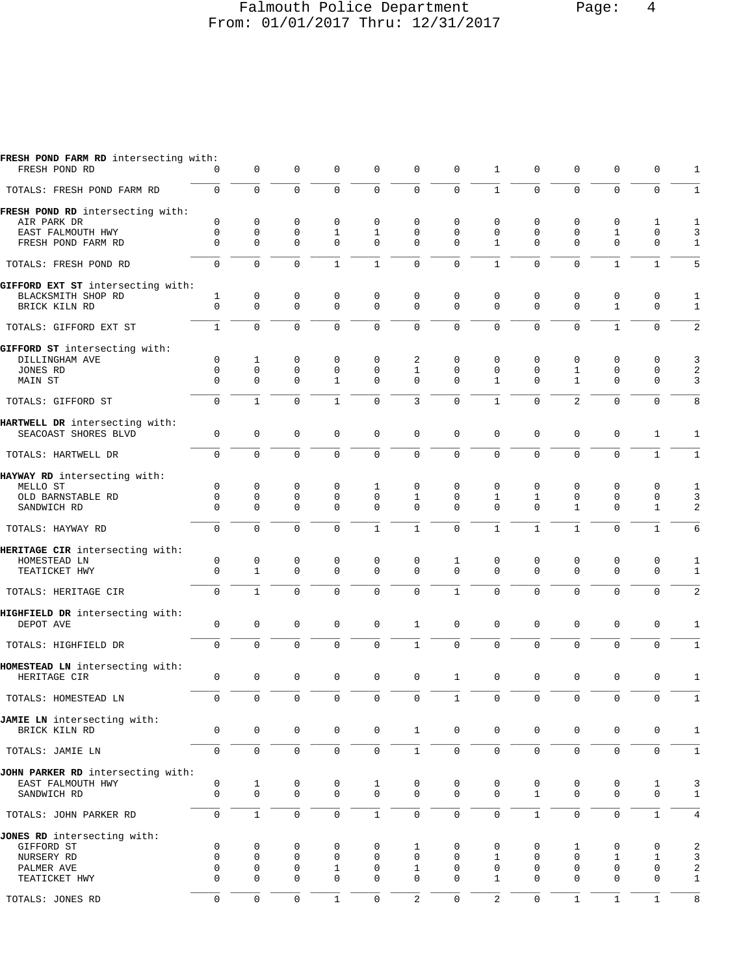#### Falmouth Police Department Page: 4 From: 01/01/2017 Thru: 12/31/2017

| FRESH POND FARM RD intersecting with:<br>FRESH POND RD                                                     | 0                                                          | $\mathbf 0$                                                           | $\mathbf 0$                                         | $\mathbf 0$                                | $\mathbf 0$                             | 0                                           | $\mathbf 0$                            | 1                                          | 0                                              | $\mathbf 0$                             | $\mathbf 0$                                | 0                                | 1                                 |
|------------------------------------------------------------------------------------------------------------|------------------------------------------------------------|-----------------------------------------------------------------------|-----------------------------------------------------|--------------------------------------------|-----------------------------------------|---------------------------------------------|----------------------------------------|--------------------------------------------|------------------------------------------------|-----------------------------------------|--------------------------------------------|----------------------------------|-----------------------------------|
| TOTALS: FRESH POND FARM RD                                                                                 | $\mathbf{0}$                                               | $\mathbf 0$                                                           | $\Omega$                                            | $\Omega$                                   | $\mathbf 0$                             | $\mathbf 0$                                 | 0                                      | $\mathbf{1}$                               | $\Omega$                                       | $\Omega$                                | $\Omega$                                   | $\mathbf 0$                      | $\mathbf{1}$                      |
| FRESH POND RD intersecting with:<br>AIR PARK DR<br>EAST FALMOUTH HWY                                       | $\mathbf 0$<br>$\mathbf 0$                                 | $\mathbf 0$<br>$\mathbf 0$                                            | $\mathbf 0$<br>$\mathbf 0$                          | $\mathbf 0$<br>$\mathbf{1}$                | 0<br>$\mathbf{1}$                       | 0<br>$\mathbf 0$                            | $\mathbf 0$<br>$\mathbf 0$             | $\mathbf 0$<br>$\mathbf 0$                 | 0<br>$\mathbf 0$                               | 0<br>$\mathbf 0$                        | 0<br>$\mathbf{1}$                          | 1<br>$\mathbf 0$                 | 1<br>3                            |
| FRESH POND FARM RD                                                                                         | $\Omega$                                                   | $\Omega$                                                              | $\Omega$                                            | $\Omega$                                   | $\Omega$                                | $\Omega$                                    | $\Omega$                               | $\mathbf{1}$                               | $\Omega$                                       | $\Omega$                                | $\Omega$                                   | $\Omega$                         | $\mathbf{1}$                      |
| TOTALS: FRESH POND RD                                                                                      | $\Omega$                                                   | $\mathbf 0$                                                           | $\Omega$                                            | $\mathbf{1}$                               | $\mathbf{1}$                            | $\mathbf 0$                                 | $\Omega$                               | $\mathbf{1}$                               | $\Omega$                                       | $\Omega$                                | $\mathbf{1}$                               | $\mathbf{1}$                     | 5                                 |
| GIFFORD EXT ST intersecting with:<br>BLACKSMITH SHOP RD<br>BRICK KILN RD                                   | 1<br>$\mathbf 0$                                           | 0<br>$\mathbf 0$                                                      | 0<br>$\mathbf 0$                                    | 0<br>$\mathbf 0$                           | 0<br>$\mathbf 0$                        | 0<br>$\Omega$                               | 0<br>$\Omega$                          | 0<br>$\Omega$                              | 0<br>$\Omega$                                  | 0<br>$\Omega$                           | 0<br>$\mathbf{1}$                          | 0<br>$\mathbf 0$                 | 1<br>$\mathbf{1}$                 |
| TOTALS: GIFFORD EXT ST                                                                                     | $\mathbf{1}$                                               | $\mathbf 0$                                                           | $\Omega$                                            | $\Omega$                                   | $\mathbf 0$                             | $\mathbf 0$                                 | $\mathbf 0$                            | $\Omega$                                   | $\Omega$                                       | $\Omega$                                | $\mathbf{1}$                               | $\Omega$                         | $\sqrt{2}$                        |
| GIFFORD ST intersecting with:<br>DILLINGHAM AVE<br>JONES RD<br>MAIN ST                                     | $\mathbf 0$<br>$\mathbf 0$<br>$\Omega$                     | $\mathbf{1}$<br>$\mathbf 0$<br>$\mathbf 0$                            | 0<br>$\mathbf 0$<br>$\mathbf 0$                     | 0<br>$\mathbf 0$<br>$\mathbf{1}$           | 0<br>$\mathbf 0$<br>$\mathbf 0$         | 2<br>$\mathbf{1}$<br>$\Omega$               | $\mathbf 0$<br>$\mathbf 0$<br>$\Omega$ | $\mathbf 0$<br>$\mathbf 0$<br>$\mathbf{1}$ | 0<br>$\mathbf 0$<br>$\Omega$                   | 0<br>$\mathbf{1}$<br>$\mathbf{1}$       | $\mathbf 0$<br>0<br>$\mathbf{0}$           | 0<br>0<br>$\mathbf 0$            | 3<br>$\overline{\mathbf{c}}$<br>3 |
| TOTALS: GIFFORD ST                                                                                         | $\Omega$                                                   | $\mathbf{1}$                                                          | $\Omega$                                            | $\mathbf{1}$                               | $\mathbf 0$                             | 3                                           | $\mathbf 0$                            | $\mathbf{1}$                               | $\Omega$                                       | $\overline{a}$                          | $\Omega$                                   | $\Omega$                         | 8                                 |
| HARTWELL DR intersecting with:<br>SEACOAST SHORES BLVD                                                     | $\mathbf 0$                                                | $\mathbf 0$                                                           | $\mathbf 0$                                         | $\mathbf 0$                                | $\mathbf 0$                             | 0                                           | $\mathbf 0$                            | 0                                          | $\mathbf 0$                                    | $\mathbf 0$                             | $\mathbf 0$                                | $\mathbf{1}$                     | 1                                 |
| TOTALS: HARTWELL DR                                                                                        | $\mathbf 0$                                                | $\mathbf 0$                                                           | $\Omega$                                            | $\Omega$                                   | $\mathbf 0$                             | $\mathbf 0$                                 | 0                                      | $\mathbf 0$                                | $\mathbf 0$                                    | $\Omega$                                | $\Omega$                                   | $\mathbf{1}$                     | $\mathbf{1}$                      |
| HAYWAY RD intersecting with:<br>MELLO ST<br>OLD BARNSTABLE RD<br>SANDWICH RD                               | 0<br>$\Omega$<br>$\Omega$                                  | $\mathbf 0$<br>$\mathbf 0$<br>$\Omega$                                | 0<br>$\mathbf 0$<br>$\Omega$                        | 0<br>$\mathbf 0$<br>$\mathbf 0$            | $\mathbf 1$<br>$\mathbf{0}$<br>$\Omega$ | $\mathbf 0$<br>$\mathbf{1}$<br>$\Omega$     | $\mathbf 0$<br>$\mathbf 0$<br>$\Omega$ | $\mathbf 0$<br>$\mathbf{1}$<br>$\Omega$    | 0<br>$\mathbf{1}$<br>$\Omega$                  | $\mathbf 0$<br>$\Omega$<br>$\mathbf{1}$ | 0<br>$\Omega$<br>$\Omega$                  | 0<br>$\mathbf 0$<br>$\mathbf{1}$ | 1<br>3<br>$\overline{c}$          |
| TOTALS: HAYWAY RD                                                                                          | $\mathbf 0$                                                | $\Omega$                                                              | $\Omega$                                            | $\Omega$                                   | $\mathbf{1}$                            | $\mathbf{1}$                                | 0                                      | $\mathbf{1}$                               | $\mathbf{1}$                                   | $\mathbf{1}$                            | $\Omega$                                   | $\mathbf{1}$                     | 6                                 |
| HERITAGE CIR intersecting with:<br>HOMESTEAD LN<br>TEATICKET HWY                                           | 0<br>$\Omega$                                              | $\mathbf 0$<br>$\mathbf{1}$                                           | 0<br>$\Omega$                                       | 0<br>$\Omega$                              | 0<br>$\Omega$                           | $\mathsf 0$<br>$\Omega$                     | 1<br>$\Omega$                          | 0<br>$\Omega$                              | 0<br>$\Omega$                                  | 0<br>$\Omega$                           | $\mathbf 0$<br>$\Omega$                    | 0<br>$\Omega$                    | 1<br>$\mathbf{1}$                 |
| TOTALS: HERITAGE CIR                                                                                       | $\mathbf 0$                                                | $\mathbf{1}$                                                          | $\mathbf 0$                                         | $\mathbf 0$                                | $\mathbf 0$                             | 0                                           | $\mathbf{1}$                           | $\Omega$                                   | $\Omega$                                       | $\mathbf 0$                             | $\mathbf{0}$                               | 0                                | $\overline{2}$                    |
| HIGHFIELD DR intersecting with:<br>DEPOT AVE                                                               | $\mathbf 0$                                                | $\mathsf{O}\xspace$                                                   | $\mathbf 0$                                         | $\mathbf 0$                                | $\mathbf 0$                             | $\mathbf{1}$                                | $\mathbf 0$                            | $\mathbf 0$                                | $\mathbf 0$                                    | $\mathbf 0$                             | $\mathbf{0}$                               | 0                                | 1                                 |
| TOTALS: HIGHFIELD DR                                                                                       | $\mathbf 0$                                                | $\Omega$                                                              | $\mathbf 0$                                         | $\Omega$                                   | $\mathbf 0$                             | $\mathbf{1}$                                | $\mathbf 0$                            | $\mathbf 0$                                | $\mathbf 0$                                    | $\mathbf 0$                             | $\mathbf 0$                                | $\Omega$                         | $\mathbf{1}$                      |
| HOMESTEAD LN intersecting with:<br>HERITAGE CIR                                                            | $\mathbf 0$                                                | $\mathbf 0$                                                           | $\mathbf 0$                                         | $\mathbf 0$                                | $\mathbf 0$                             | 0                                           | $\mathbf{1}$                           | 0                                          | $\mathbf 0$                                    | $\mathbf 0$                             | $\mathbf 0$                                | 0                                | 1                                 |
| TOTALS: HOMESTEAD LN                                                                                       | $\Omega$                                                   | $\Omega$                                                              | $\Omega$                                            | $\Omega$                                   | $\Omega$                                | $\Omega$                                    | $\mathbf{1}$                           | $\Omega$                                   | $\Omega$                                       | $\Omega$                                | $\Omega$                                   | $\Omega$                         | $\mathbf{1}$                      |
| JAMIE LN intersecting with:<br>BRICK KILN RD                                                               | $\mathbf 0$                                                | $\mathbf 0$                                                           | $\mathbf 0$                                         | $\mathbf 0$                                | 0                                       | $\mathbf{1}$                                | $\mathsf{O}$                           | $\mathbf 0$                                | 0                                              | 0                                       | 0                                          | $\mathbf 0$                      | $\mathbf{1}$                      |
| TOTALS: JAMIE LN                                                                                           | $\mathsf{O}\xspace$                                        | $\mathsf 0$                                                           | $\mathsf 0$                                         | $\mathsf{O}\xspace$                        | $\mathsf{O}\xspace$                     | $\mathbf{1}$                                | $\mathsf{O}$                           | $\mathbf 0$                                | $\mathsf{O}\xspace$                            | $\mathbf 0$                             | $\mathsf 0$                                | 0                                | $\,1\,$                           |
| JOHN PARKER RD intersecting with:<br>EAST FALMOUTH HWY<br>SANDWICH RD                                      | 0<br>$\mathbf 0$                                           | $\mathbf{1}$<br>$\mathsf{O}\xspace$                                   | 0<br>$\mathbf 0$                                    | 0<br>$\mathbf 0$                           | $\mathbf{1}$<br>$\mathsf{O}\xspace$     | 0<br>$\mathbf 0$                            | 0<br>$\mathbf 0$                       | 0<br>$\mathbf 0$                           | 0<br>$\mathbf{1}$                              | 0<br>$\mathbf 0$                        | 0<br>$\mathbf 0$                           | 1<br>$\mathbf 0$                 | 3<br>$\mathbf{1}$                 |
| TOTALS: JOHN PARKER RD                                                                                     | $\mathbf 0$                                                | $1\,$                                                                 | $\mathsf 0$                                         | $\mathbf 0$                                | $\mathbf{1}$                            | 0                                           | $\mathsf 0$                            | $\mathbf 0$                                | $\mathbf{1}$                                   | $\mathbf 0$                             | $\mathbf 0$                                | $\mathbf{1}$                     | 4                                 |
| JONES RD intersecting with:<br>GIFFORD ST<br>NURSERY RD<br>PALMER AVE<br>TEATICKET HWY<br>TOTALS: JONES RD | 0<br>$\mathbf 0$<br>$\mathbf 0$<br>$\Omega$<br>$\mathbf 0$ | 0<br>$\mathbf 0$<br>$\mathbf 0$<br>$\mathbf 0$<br>$\mathsf{O}\xspace$ | 0<br>$\mathbf 0$<br>0<br>$\mathbf 0$<br>$\mathsf 0$ | 0<br>0<br>1<br>$\mathbf 0$<br>$\mathbf{1}$ | 0<br>0<br>0<br>0<br>$\mathbf 0$         | 1<br>0<br>1<br>0<br>$\overline{\mathbf{c}}$ | 0<br>0<br>0<br>$\Omega$<br>0           | 0<br>1<br>0<br>1<br>$\mathbf{2}$           | 0<br>0<br>0<br>$\Omega$<br>$\mathsf{O}\xspace$ | $\mathbf{1}$<br>0<br>0<br>0<br>$1\,$    | 0<br>1<br>0<br>$\mathbf 0$<br>$\mathbf{1}$ | 0<br>1<br>0<br>0<br>$\mathbf{1}$ | 2<br>3<br>2<br>1<br>8             |
|                                                                                                            |                                                            |                                                                       |                                                     |                                            |                                         |                                             |                                        |                                            |                                                |                                         |                                            |                                  |                                   |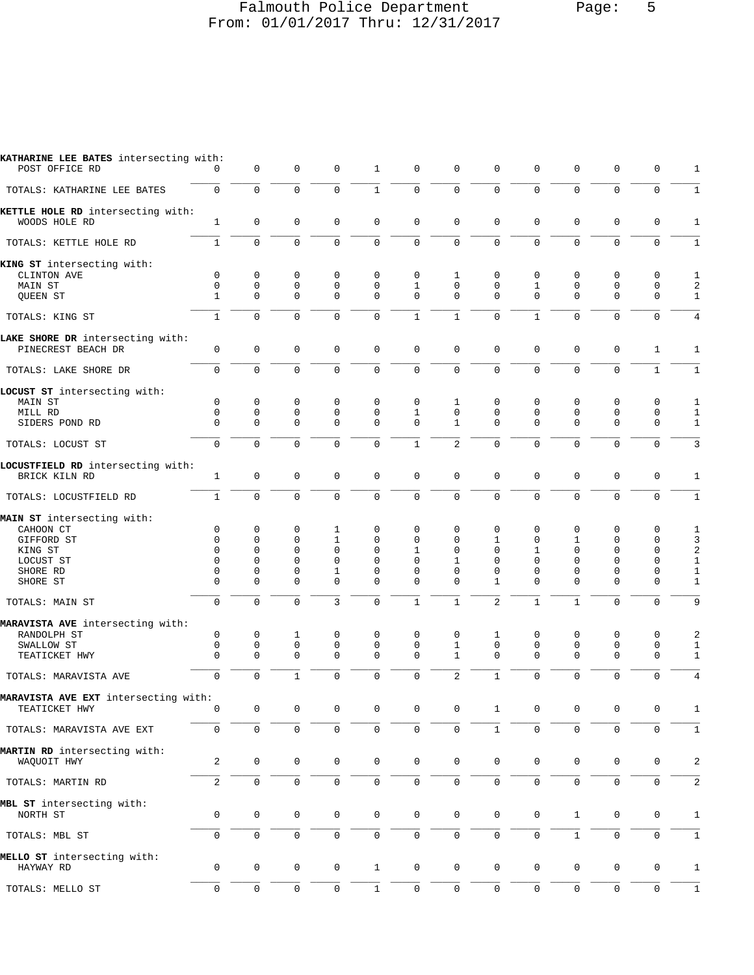#### Falmouth Police Department Page: 5 From: 01/01/2017 Thru: 12/31/2017

| KATHARINE LEE BATES intersecting with:<br>POST OFFICE RD | $\Omega$             | 0                    | 0                    | 0                    | $\mathbf{1}$         | $\mathbf 0$              | $\mathbf 0$              | $\mathbf 0$          | 0                        | $\mathbf 0$          | 0                    | 0                       | 1                          |
|----------------------------------------------------------|----------------------|----------------------|----------------------|----------------------|----------------------|--------------------------|--------------------------|----------------------|--------------------------|----------------------|----------------------|-------------------------|----------------------------|
| TOTALS: KATHARINE LEE BATES                              | $\mathbf 0$          | $\Omega$             | $\Omega$             | $\Omega$             | $\mathbf{1}$         | $\mathbf 0$              | $\Omega$                 | $\Omega$             | $\Omega$                 | $\Omega$             | $\Omega$             | $\mathbf 0$             | 1                          |
| KETTLE HOLE RD intersecting with:<br>WOODS HOLE RD       | $\mathbf{1}$         | $\mathbf 0$          | $\mathbf 0$          | $\mathbf 0$          | $\mathbf 0$          | $\mathbf 0$              | $\mathbf 0$              | $\mathbf 0$          | $\mathbf 0$              | $\mathbf 0$          | $\mathbf 0$          | $\mathbf 0$             | $\mathbf{1}$               |
| TOTALS: KETTLE HOLE RD                                   | $\mathbf{1}$         | $\mathbf 0$          | $\mathbf 0$          | $\mathbf 0$          | $\mathbf 0$          | $\mathbf 0$              | $\Omega$                 | $\Omega$             | $\Omega$                 | $\Omega$             | $\Omega$             | $\mathbf 0$             | 1                          |
| KING ST intersecting with:<br>CLINTON AVE                | 0                    | 0                    | $\mathbf 0$          | 0                    | $\Omega$             | 0                        | 1                        | 0                    | 0                        | 0                    | $\mathbf 0$          | 0                       | 1                          |
| MAIN ST                                                  | $\mathbf 0$          | $\mathbf 0$          | $\mathbf 0$          | $\mathbf{0}$         | $\Omega$             | $\mathbf{1}$             | $\Omega$                 | $\mathbf{0}$         | $\mathbf{1}$             | $\mathbf 0$          | $\mathbf 0$          | $\mathbf 0$             | 2                          |
| QUEEN ST                                                 | $\mathbf{1}$         | $\Omega$             | $\Omega$             | $\Omega$             | $\Omega$             | $\Omega$                 | $\Omega$                 | $\Omega$             | $\Omega$                 | $\Omega$             | $\Omega$             | $\Omega$                | $\mathbf{1}$               |
| TOTALS: KING ST                                          | $\mathbf{1}$         | $\Omega$             | $\Omega$             | $\Omega$             | $\mathbf 0$          | $\mathbf{1}$             | $\mathbf{1}$             | $\Omega$             | $\mathbf{1}$             | $\mathbf{0}$         | $\Omega$             | $\mathbf 0$             | 4                          |
| LAKE SHORE DR intersecting with:<br>PINECREST BEACH DR   | 0                    | $\mathbf 0$          | $\mathbf 0$          | $\mathbf 0$          | $\mathbf 0$          | $\mathbf 0$              | $\Omega$                 | $\Omega$             | $\Omega$                 | $\mathbf{0}$         | $\mathbf 0$          | 1                       | 1                          |
| TOTALS: LAKE SHORE DR                                    | $\mathbf 0$          | $\mathbf 0$          | $\mathbf 0$          | $\mathbf 0$          | $\mathbf 0$          | $\mathbf 0$              | $\mathbf 0$              | $\mathbf 0$          | $\mathbf 0$              | $\mathbf 0$          | $\mathbf 0$          | $\mathbf{1}$            | 1                          |
| LOCUST ST intersecting with:                             |                      |                      |                      |                      |                      |                          |                          |                      |                          |                      |                      |                         |                            |
| MAIN ST                                                  | $\mathbf 0$          | $\mathbf 0$          | $\mathbf 0$          | $\mathbf 0$          | $\mathbf 0$          | 0                        | 1                        | $\mathbf 0$          | $\mathbf 0$              | $\mathbf 0$          | $\mathbf 0$          | $\mathbf 0$             | 1                          |
| MILL RD                                                  | $\mathbf 0$          | $\mathbf 0$          | $\mathbf 0$          | $\mathbf{0}$         | $\mathbf 0$          | $\mathbf{1}$             | $\mathbf 0$              | $\mathbf 0$          | 0                        | $\mathbf{0}$         | $\mathbf 0$          | $\mathbf 0$             | $\mathbf{1}$               |
| SIDERS POND RD                                           | $\Omega$             | $\Omega$             | $\Omega$             | $\Omega$             | $\Omega$             | $\Omega$                 | $\mathbf{1}$             | $\Omega$             | 0                        | $\Omega$             | $\Omega$             | $\mathbf 0$             | $\mathbf{1}$               |
| TOTALS: LOCUST ST                                        | $\mathbf 0$          | $\mathbf 0$          | $\Omega$             | $\mathbf 0$          | $\mathbf 0$          | $\mathbf{1}$             | 2                        | $\Omega$             | $\mathbf 0$              | $\mathbf 0$          | $\Omega$             | $\mathbf 0$             | 3                          |
| LOCUSTFIELD RD intersecting with:<br>BRICK KILN RD       | $\mathbf{1}$         | $\mathbf 0$          | $\mathbf 0$          | $\mathbf 0$          | $\mathbf 0$          | $\mathbf 0$              | $\mathbf 0$              | $\mathbf{0}$         | $\mathbf 0$              | $\mathbf{0}$         | $\mathbf 0$          | 0                       | $\mathbf{1}$               |
| TOTALS: LOCUSTFIELD RD                                   | $\mathbf{1}$         | $\Omega$             | $\Omega$             | $\Omega$             | $\Omega$             | $\Omega$                 | $\Omega$                 | $\Omega$             | $\Omega$                 | $\Omega$             | $\Omega$             | $\mathbf 0$             | $\mathbf{1}$               |
| MAIN ST intersecting with:                               |                      |                      |                      |                      |                      |                          |                          |                      |                          |                      |                      |                         |                            |
| CAHOON CT                                                | 0                    | $\mathbf 0$          | 0                    | 1                    | $\mathbf 0$          | 0                        | $\mathbf 0$              | $\mathbf 0$          | 0                        | $\mathbf 0$          | $\mathbf 0$          | 0                       | 1                          |
| GIFFORD ST                                               | $\Omega$             | $\mathbf 0$          | $\Omega$             | 1                    | $\Omega$             | $\Omega$                 | $\Omega$                 | $\mathbf{1}$         | $\mathbf 0$              | $\mathbf{1}$         | $\Omega$             | $\mathbf 0$             | 3                          |
| KING ST                                                  | $\Omega$<br>$\Omega$ | $\Omega$<br>$\Omega$ | $\Omega$<br>$\Omega$ | $\Omega$<br>$\Omega$ | $\Omega$<br>$\Omega$ | $\mathbf{1}$<br>$\Omega$ | $\Omega$<br>$\mathbf{1}$ | $\Omega$<br>$\Omega$ | $\mathbf{1}$<br>$\Omega$ | $\Omega$<br>$\Omega$ | $\Omega$<br>$\Omega$ | $\Omega$<br>$\mathbf 0$ | $\sqrt{2}$<br>$\mathbf{1}$ |
| LOCUST ST<br>SHORE RD                                    | 0                    | $\mathbf 0$          | 0                    | 1                    | 0                    | $\Omega$                 | $\Omega$                 | $\Omega$             | 0                        | $\mathbf{0}$         | $\mathbf 0$          | 0                       | $\mathbf{1}$               |
| SHORE ST                                                 | $\Omega$             | $\Omega$             | $\Omega$             | $\Omega$             | $\Omega$             | $\Omega$                 | $\Omega$                 | $\mathbf{1}$         | $\Omega$                 | $\Omega$             | $\Omega$             | $\mathbf 0$             | $\mathbf{1}$               |
| TOTALS: MAIN ST                                          | $\Omega$             | $\Omega$             | $\Omega$             | $\overline{3}$       | $\Omega$             | $\mathbf{1}$             | $\mathbf{1}$             | $\overline{a}$       | $\mathbf{1}$             | $\mathbf{1}$         | $\Omega$             | $\Omega$                | 9                          |
| MARAVISTA AVE intersecting with:                         |                      |                      |                      |                      |                      |                          |                          |                      |                          |                      |                      |                         |                            |
| RANDOLPH ST                                              | $\mathbf 0$          | $\mathbf 0$          | 1                    | $\mathbf{0}$         | $\mathbf 0$          | $\mathbf 0$              | $\mathbf 0$              | $\mathbf 1$          | $\mathbf 0$              | $\mathbf{0}$         | $\mathbf 0$          | $\mathbf 0$             | 2                          |
| SWALLOW ST                                               | 0                    | $\mathbf 0$          | $\mathbf 0$          | $\mathbf 0$          | $\mathbf 0$          | $\Omega$                 | $\mathbf{1}$             | $\mathbf 0$          | 0                        | $\mathsf 0$          | $\mathbf 0$          | $\mathsf 0$             | 1                          |
| TEATICKET HWY                                            | $\Omega$             | $\mathbf 0$          | $\mathbf 0$          | $\Omega$             | $\Omega$             | $\Omega$                 | $\mathbf{1}$             | $\Omega$             | $\Omega$                 | $\Omega$             | $\mathbf 0$          | $\mathbf 0$             | $\mathbf{1}$               |
| TOTALS: MARAVISTA AVE                                    | $\mathbf 0$          | 0                    | $\mathbf{1}$         | $\Omega$             | $\Omega$             | $\mathbf 0$              | $\overline{a}$           | $\mathbf{1}$         | $\Omega$                 | $\mathbf{0}$         | $\Omega$             | $\Omega$                | 4                          |
| MARAVISTA AVE EXT intersecting with:<br>TEATICKET HWY    | 0                    | $\mathbf 0$          | $\mathbf 0$          | 0                    | 0                    | $\mathbf 0$              | $\mathbf 0$              | $\mathbf{1}$         | 0                        | $\mathbf 0$          | 0                    | 0                       | 1                          |
| TOTALS: MARAVISTA AVE EXT                                | $\mathbf 0$          | 0                    | 0                    | $\mathsf{O}\xspace$  | $\mathsf{O}$         | $\mathsf 0$              | $\mathbf 0$              | $\mathbf{1}$         | $\mathsf 0$              | $\mathbf 0$          | 0                    | 0                       | 1                          |
| MARTIN RD intersecting with:<br>WAQUOIT HWY              | 2                    | $\mathbf 0$          | 0                    | 0                    | 0                    | $\mathbf 0$              | $\mathsf{O}$             | 0                    | 0                        | $\mathbf 0$          | 0                    | 0                       | $\sqrt{2}$                 |
| TOTALS: MARTIN RD                                        | 2                    | $\mathsf 0$          | $\mathsf{O}\xspace$  | $\mathbf 0$          | $\mathsf{O}$         | $\mathsf 0$              | $\mathbf 0$              | $\mathsf{O}$         | 0                        | $\mathbf 0$          | $\mathbf 0$          | $\mathsf 0$             | $\overline{2}$             |
|                                                          |                      |                      |                      |                      |                      |                          |                          |                      |                          |                      |                      |                         |                            |
| MBL ST intersecting with:<br>NORTH ST                    | 0                    | $\mathbf 0$          | 0                    | 0                    | 0                    | $\mathbf 0$              | $\mathbf 0$              | 0                    | 0                        | $\mathbf{1}$         | 0                    | 0                       | 1                          |
| TOTALS: MBL ST                                           | 0                    | $\mathsf{O}\xspace$  | $\mathbf 0$          | 0                    | $\mathsf{O}$         | $\mathsf{O}\xspace$      | $\mathsf{O}$             | $\mathsf{O}$         | 0                        | $\mathbf{1}$         | 0                    | 0                       | $\mathbf{1}$               |
| MELLO ST intersecting with:                              |                      |                      |                      |                      |                      |                          |                          |                      |                          |                      |                      |                         |                            |
| HAYWAY RD                                                | 0                    | $\mathbf 0$          | $\mathbf 0$          | $\mathbf 0$          | $\mathbf{1}$         | $\mathbf 0$              | $\mathbf 0$              | 0                    | 0                        | $\mathsf 0$          | 0                    | 0                       | $1\,$                      |
| TOTALS: MELLO ST                                         | $\mathbf 0$          | $\mathbf 0$          | $\mathsf{O}\xspace$  | $\mathbf 0$          | $\mathbf 1$          | $\mathsf 0$              | $\mathbf 0$              | $\mathbf 0$          | 0                        | $\mathbf 0$          | $\mathbf 0$          | 0                       | $\mathbf{1}$               |
|                                                          |                      |                      |                      |                      |                      |                          |                          |                      |                          |                      |                      |                         |                            |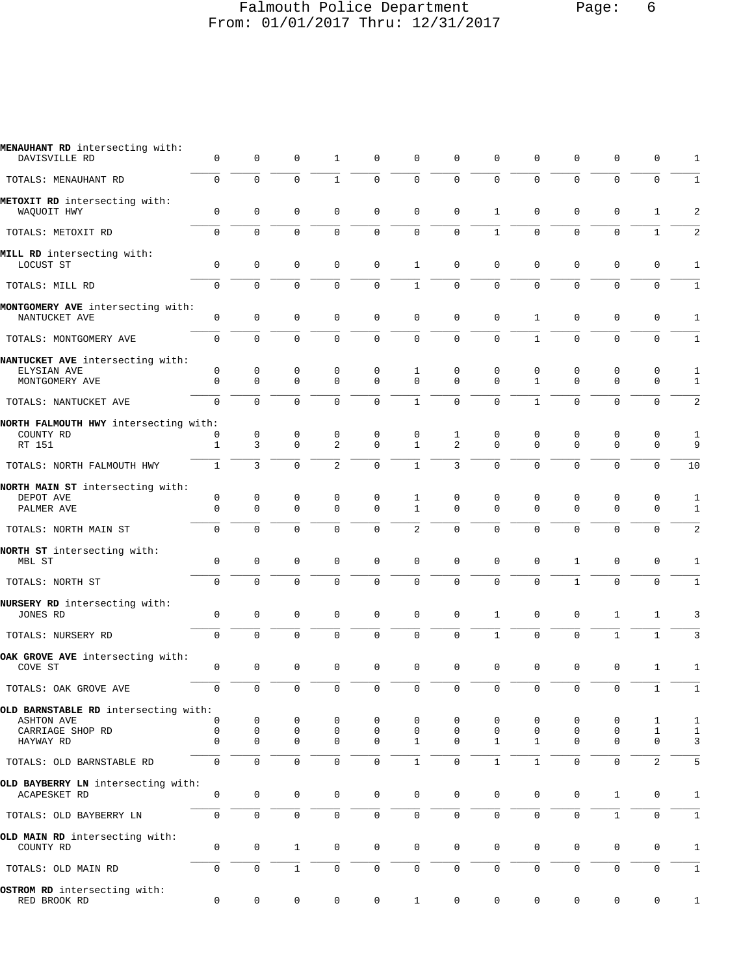#### Falmouth Police Department Page: 6 From: 01/01/2017 Thru: 12/31/2017

| MENAUHANT RD intersecting with:<br>DAVISVILLE RD          | 0            | 0           | 0                | 1                 | 0                   | $\mathbf 0$       | $\mathbf 0$         | 0             | 0                | 0              | 0                | 0                | 1                 |
|-----------------------------------------------------------|--------------|-------------|------------------|-------------------|---------------------|-------------------|---------------------|---------------|------------------|----------------|------------------|------------------|-------------------|
| TOTALS: MENAUHANT RD                                      | 0            | $\Omega$    | $\mathbf 0$      | $\mathbf{1}$      | $\mathbf 0$         | $\mathbf 0$       | $\Omega$            | $\Omega$      | $\Omega$         | $\overline{0}$ | 0                | $\mathbf 0$      | 1                 |
| METOXIT RD intersecting with:<br>WAQUOIT HWY              | 0            | 0           | 0                | 0                 | $\mathbf 0$         | $\mathbf 0$       | $\mathbf 0$         | 1             | 0                | $\mathsf 0$    | $\mathbf 0$      | 1                | $\overline{c}$    |
| TOTALS: METOXIT RD                                        | 0            | $\mathbf 0$ | $\mathbf 0$      | $\mathbf 0$       | $\mathsf 0$         | $\mathsf 0$       | $\mathbf 0$         | $\mathbf{1}$  | $\mathbf 0$      | 0              | 0                | $\mathbf 1$      | 2                 |
| MILL RD intersecting with:<br>LOCUST ST                   | 0            | $\mathsf 0$ | 0                | 0                 | $\mathbf 0$         | $\mathbf{1}$      | $\mathbf 0$         | 0             | 0                | $\mathsf 0$    | 0                | 0                | 1                 |
| TOTALS: MILL RD                                           | 0            | $\Omega$    | $\mathbf 0$      | $\mathbf 0$       | $\mathbf 0$         | $\mathbf{1}$      | $\mathbf 0$         | $\mathbf 0$   | $\mathbf 0$      | 0              | 0                | $\mathbf 0$      | $\mathbf{1}$      |
| MONTGOMERY AVE intersecting with:<br>NANTUCKET AVE        | 0            | $\mathsf 0$ | 0                | $\mathbf 0$       | $\mathbf 0$         | $\mathsf 0$       | $\mathsf 0$         | $\mathsf 0$   | $\mathbf{1}$     | $\mathbf 0$    | $\mathbf 0$      | $\mathsf 0$      | $\mathbf{1}$      |
| TOTALS: MONTGOMERY AVE                                    | 0            | 0           | $\mathbf 0$      | $\mathbf 0$       | $\mathbf 0$         | $\mathbf 0$       | $\mathbf 0$         | $\mathbf{0}$  | $\mathbf{1}$     | 0              | 0                | 0                | 1                 |
| NANTUCKET AVE intersecting with:<br>ELYSIAN AVE           | 0            | $\mathsf 0$ | 0                | 0                 | 0                   | 1                 | 0                   | 0             | 0                | 0              | 0                | 0                | 1                 |
| MONTGOMERY AVE                                            | 0            | 0           | $\mathbf 0$      | $\mathbf 0$       | $\mathbf 0$         | $\mathbf 0$       | $\mathbf 0$         | $\mathbf{0}$  | $\mathbf{1}$     | 0              | 0                | 0                | 1                 |
| TOTALS: NANTUCKET AVE                                     | $\Omega$     | $\Omega$    | $\Omega$         | $\Omega$          | $\mathbf 0$         | $\mathbf{1}$      | $\Omega$            | 0             | $\mathbf{1}$     | $\Omega$       | $\Omega$         | $\mathbf 0$      | 2                 |
| NORTH FALMOUTH HWY intersecting with:                     |              |             |                  |                   |                     |                   |                     |               |                  |                |                  |                  |                   |
| COUNTY RD<br>RT 151                                       | 0<br>1       | 0<br>3      | 0<br>$\mathbf 0$ | 0<br>2            | 0<br>$\mathbf 0$    | 0<br>$\mathbf{1}$ | 1<br>$\overline{2}$ | 0<br>$\Omega$ | 0<br>$\Omega$    | 0<br>$\Omega$  | 0<br>$\Omega$    | 0<br>$\mathbf 0$ | 1<br>9            |
| TOTALS: NORTH FALMOUTH HWY                                | $\mathbf{1}$ | 3           | $\mathbf 0$      | $\overline{c}$    | $\mathbf 0$         | $1\,$             | 3                   | 0             | $\mathbf 0$      | 0              | $\Omega$         | $\mathsf 0$      | 10                |
| NORTH MAIN ST intersecting with:                          |              |             |                  |                   |                     |                   |                     |               |                  |                |                  |                  |                   |
| DEPOT AVE<br>PALMER AVE                                   | 0<br>0       | 0<br>0      | 0<br>$\mathbf 0$ | 0<br>$\mathbf{0}$ | 0<br>$\mathbf 0$    | 1<br>$\mathbf{1}$ | 0<br>$\mathbf 0$    | 0<br>0        | 0<br>$\mathbf 0$ | 0<br>0         | 0<br>$\mathbf 0$ | 0<br>0           | 1<br>$\mathbf{1}$ |
| TOTALS: NORTH MAIN ST                                     | 0            | 0           | $\mathbf 0$      | 0                 | $\mathbf 0$         | $\overline{2}$    | $\mathbf 0$         | 0             | $\mathbf 0$      | 0              | 0                | $\mathbf 0$      | $\overline{c}$    |
| NORTH ST intersecting with:<br>MBL ST                     | 0            | 0           | $\mathbf 0$      | $\mathbf 0$       | $\mathsf 0$         | $\mathbf 0$       | $\mathbf 0$         | $\mathbf{0}$  | $\mathbf 0$      | $\mathbf{1}$   | $\mathbf 0$      | 0                | $\mathbf{1}$      |
| TOTALS: NORTH ST                                          | 0            | 0           | $\mathbf 0$      | $\mathbf 0$       | $\mathbf 0$         | $\mathbf 0$       | $\mathsf 0$         | 0             | $\mathsf 0$      | $\mathbf{1}$   | 0                | 0                | $1\,$             |
| NURSERY RD intersecting with:<br>JONES RD                 | 0            | $\mathbf 0$ | 0                | $\mathbf 0$       | $\mathbf 0$         | $\mathbf 0$       | $\mathsf 0$         | $\mathbf{1}$  | $\mathbf 0$      | $\mathsf 0$    | 1                | 1                | 3                 |
| TOTALS: NURSERY RD                                        | 0            | 0           | $\mathbf 0$      | $\mathbf 0$       | $\mathbf 0$         | $\mathbf 0$       | $\mathbf 0$         | $\mathbf{1}$  | $\mathbf 0$      | 0              | $\mathbf{1}$     | $\mathbf{1}$     | 3                 |
| OAK GROVE AVE intersecting with:                          |              |             |                  |                   |                     |                   |                     |               |                  |                |                  |                  |                   |
| COVE ST                                                   | 0            | 0           | 0                | $\mathbf 0$       | $\mathbf 0$         | $\mathbf 0$       | $\mathbf 0$         | 0             | 0                | $\mathsf 0$    | 0                | 1                | 1                 |
| TOTALS: OAK GROVE AVE                                     | 0            | $\mathbf 0$ | $\mathbf 0$      | $\mathbf 0$       | $\mathbf 0$         | $\mathbf 0$       | $\mathbf 0$         | 0             | $\mathbf 0$      | $\mathbf 0$    | $\mathbf 0$      | $\mathbf{1}$     | $\mathbf{1}$      |
| OLD BARNSTABLE RD intersecting with:<br><b>ASHTON AVE</b> | 0            | 0           | 0                | 0                 | 0                   | 0                 | 0                   | 0             | 0                | 0              | 0                | 1                | 1                 |
| CARRIAGE SHOP RD                                          | 0            | 0           | $\mathsf 0$      | $\mathbf 0$       | $\mathbf 0$         | $\mathbf 0$       | $\mathsf 0$         | $\mathbf 0$   | $\mathbf 0$      | 0              | $\mathbf 0$      | $\mathbf{1}$     | $1\,$             |
| HAYWAY RD                                                 | 0            | $\mathbf 0$ | 0                | 0                 | 0                   | $\mathbf{1}$      | $\mathbf 0$         | 1             | 1                | $\mathbf 0$    | $\mathbf 0$      | $\mathsf 0$      | 3                 |
| TOTALS: OLD BARNSTABLE RD                                 | 0            | $\mathbf 0$ | $\mathbf 0$      | $\mathbf 0$       | $\mathbf 0$         | $\mathbf{1}$      | $\mathbf 0$         | $\mathbf{1}$  | $\mathbf{1}$     | $\mathbf 0$    | $\mathbf{0}$     | 2                | 5                 |
| OLD BAYBERRY LN intersecting with:<br>ACAPESKET RD        | 0            | 0           | $\mathsf 0$      | $\mathbf 0$       | $\mathsf{O}\xspace$ | $\mathsf 0$       | $\mathbf 0$         | 0             | 0                | $\mathsf 0$    | $\mathbf{1}$     | $\mathsf 0$      | $\mathbf{1}$      |
| TOTALS: OLD BAYBERRY LN                                   | 0            | $\mathsf 0$ | $\mathbf 0$      | $\mathbf 0$       | $\mathsf{O}\xspace$ | $\mathsf 0$       | $\mathsf 0$         | 0             | $\mathsf 0$      | $\mathsf 0$    | $1\,$            | 0                | 1                 |
| OLD MAIN RD intersecting with:<br>COUNTY RD               | 0            | 0           | $\mathbf{1}$     | 0                 | $\mathbf 0$         | $\mathsf 0$       | $\mathbf 0$         | 0             | $\mathbf 0$      | $\mathbf 0$    | $\mathbf 0$      | 0                | 1                 |
| TOTALS: OLD MAIN RD                                       | 0            | 0           | $\mathbf 1$      | 0                 | $\mathsf{O}$        | $\mathsf 0$       | 0                   | 0             | 0                | 0              | 0                | 0                | $1\,$             |
| OSTROM RD intersecting with:<br>RED BROOK RD              | 0            | 0           | 0                | 0                 | $\mathbf 0$         | $\mathbf{1}$      | 0                   | 0             | 0                | $\mathsf 0$    | $\mathbf 0$      | 0                | $1\,$             |
|                                                           |              |             |                  |                   |                     |                   |                     |               |                  |                |                  |                  |                   |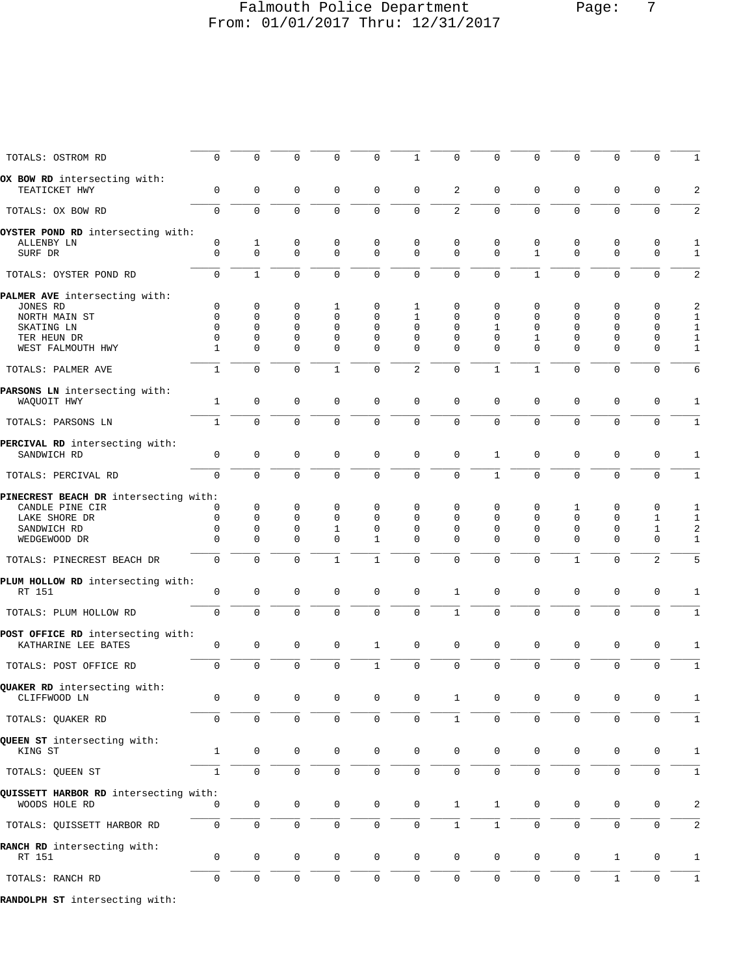## Falmouth Police Department Page: 7 From: 01/01/2017 Thru: 12/31/2017

| TOTALS: OSTROM RD                             | 0                | $\mathbf 0$      | 0                | $\Omega$                   | 0                   | 1                       | $\mathbf 0$                | 0                 | 0                 | $\mathbf 0$                | 0                          | $\Omega$                    | 1                 |
|-----------------------------------------------|------------------|------------------|------------------|----------------------------|---------------------|-------------------------|----------------------------|-------------------|-------------------|----------------------------|----------------------------|-----------------------------|-------------------|
| OX BOW RD intersecting with:<br>TEATICKET HWY | 0                | $\mathbf 0$      | 0                | $\mathbf 0$                | 0                   | 0                       | 2                          | 0                 | 0                 | $\mathbf 0$                | 0                          | 0                           | 2                 |
| TOTALS: OX BOW RD                             | $\mathbf 0$      | $\mathbf 0$      | $\mathbf 0$      | $\mathbf 0$                | $\mathbf 0$         | $\mathbf 0$             | 2                          | $\mathbf{0}$      | $\mathbf 0$       | $\mathbf 0$                | $\mathbf 0$                | $\mathbf 0$                 | 2                 |
| OYSTER POND RD intersecting with:             |                  |                  |                  |                            |                     |                         |                            |                   |                   |                            |                            |                             |                   |
| ALLENBY LN<br>SURF DR                         | 0<br>$\mathsf 0$ | 1<br>$\mathbf 0$ | 0<br>$\mathbf 0$ | $\mathbf 0$<br>$\mathbf 0$ | 0<br>$\mathbf 0$    | 0<br>$\mathbf 0$        | $\mathbf 0$<br>$\mathbf 0$ | 0<br>$\mathbf{0}$ | 0<br>$\mathbf{1}$ | $\mathbf 0$<br>$\mathbf 0$ | $\mathbf 0$<br>$\mathbf 0$ | $\mathbf 0$<br>$\mathbf 0$  | 1<br>$\mathbf{1}$ |
|                                               |                  |                  |                  |                            |                     |                         |                            |                   |                   |                            |                            |                             |                   |
| TOTALS: OYSTER POND RD                        | $\mathbf 0$      | $\mathbf{1}$     | $\mathbf 0$      | $\mathbf 0$                | $\mathbf 0$         | $\mathbf 0$             | $\mathbf 0$                | 0                 | $\mathbf 1$       | $\mathbf 0$                | $\mathbf 0$                | $\mathbf 0$                 | 2                 |
| PALMER AVE intersecting with:                 | 0                | $\mathbf 0$      |                  |                            |                     |                         |                            |                   |                   |                            |                            | $\mathbf 0$                 |                   |
| JONES RD<br>NORTH MAIN ST                     | 0                | $\Omega$         | 0<br>0           | 1<br>$\Omega$              | 0<br>$\Omega$       | 1<br>1                  | 0<br>$\Omega$              | 0<br>$\Omega$     | 0<br>$\Omega$     | 0<br>$\Omega$              | 0<br>$\Omega$              | $\Omega$                    | 2<br>1            |
| SKATING LN                                    | $\mathbf 0$      | 0                | 0                | $\mathbf 0$                | $\mathbf 0$         | 0                       | $\mathbf 0$                | 1                 | 0                 | 0                          | $\mathbf 0$                | $\mathbf 0$                 | $\mathbf{1}$      |
| TER HEUN DR                                   | $\mathbf 0$      | 0                | 0                | $\mathbf 0$                | $\mathbf 0$         | $\mathbf 0$             | $\mathbf 0$                | 0                 | 1                 | 0                          | $\mathbf 0$                | 0                           | 1                 |
| WEST FALMOUTH HWY                             | 1                | $\Omega$         | 0                | $\Omega$                   | $\mathbf 0$         | $\Omega$                | $\Omega$                   | $\Omega$          | $\Omega$          | $\Omega$                   | $\mathbf 0$                | $\mathbf 0$                 | $\mathbf{1}$      |
| TOTALS: PALMER AVE                            | $\mathbf 1$      | $\mathbf 0$      | $\mathbf 0$      | $\mathbf{1}$               | $\mathbf 0$         | $\overline{c}$          | $\mathbf 0$                | $\mathbf{1}$      | $\mathbf 1$       | $\mathbf 0$                | $\mathbf 0$                | $\Omega$                    | 6                 |
| PARSONS LN intersecting with:                 |                  |                  |                  |                            |                     |                         |                            |                   |                   |                            |                            |                             |                   |
| WAQUOIT HWY                                   | $\mathbf{1}$     | $\mathsf 0$      | $\mathbf 0$      | $\mathbf 0$                | $\mathsf 0$         | $\mathbf 0$             | $\mathbf 0$                | $\mathbf 0$       | $\mathbf 0$       | $\mathbf 0$                | $\mathbf 0$                | $\mathbf 0$                 | 1                 |
| TOTALS: PARSONS LN                            | $\mathbf{1}$     | $\mathbf 0$      | $\mathbf 0$      | 0                          | $\mathbf 0$         | $\mathbf 0$             | $\mathbf 0$                | $\mathbf 0$       | $\mathbf 0$       | $\mathbf 0$                | $\mathbf 0$                | $\mathbf 0$                 | $\mathbf{1}$      |
| PERCIVAL RD intersecting with:                |                  |                  |                  |                            |                     |                         |                            |                   |                   |                            |                            |                             |                   |
| SANDWICH RD                                   | 0                | $\mathbf 0$      | $\mathbf 0$      | $\mathbf 0$                | 0                   | $\mathbf 0$             | $\mathsf 0$                | 1                 | 0                 | $\mathbf 0$                | $\mathbf 0$                | 0                           | 1                 |
| TOTALS: PERCIVAL RD                           | $\mathbf 0$      | $\mathbf 0$      | $\mathbf 0$      | $\mathbf 0$                | $\mathbf 0$         | $\mathbf 0$             | $\mathbf 0$                | $\mathbf{1}$      | $\mathbf 0$       | $\mathbf 0$                | $\mathbf{0}$               | $\mathbf 0$                 | $1\,$             |
| PINECREST BEACH DR intersecting with:         |                  |                  |                  |                            |                     |                         |                            |                   |                   |                            |                            |                             |                   |
| CANDLE PINE CIR                               | 0                | 0                | 0                | 0                          | 0                   | 0                       | 0                          | 0                 | 0                 | 1                          | 0                          | 0                           | 1                 |
| LAKE SHORE DR                                 | 0                | $\mathbf 0$      | $\mathbf 0$      | $\mathbf 0$                | $\mathbf 0$         | 0                       | $\mathbf 0$                | 0                 | 0                 | 0                          | $\mathbf 0$                | 1                           | 1                 |
| SANDWICH RD                                   | 0<br>$\Omega$    | 0<br>$\Omega$    | 0<br>$\Omega$    | 1<br>$\Omega$              | $\mathbf 0$<br>1    | $\mathbf 0$<br>$\Omega$ | $\mathbf 0$<br>$\Omega$    | 0<br>$\Omega$     | 0<br>$\Omega$     | 0<br>$\Omega$              | 0<br>$\Omega$              | $\mathbf{1}$<br>$\mathbf 0$ | 2                 |
| WEDGEWOOD DR                                  |                  |                  |                  |                            |                     |                         |                            |                   |                   |                            |                            |                             | 1                 |
| TOTALS: PINECREST BEACH DR                    | 0                | $\mathbf 0$      | $\mathbf 0$      | $\mathbf{1}$               | $\mathbf{1}$        | $\mathbf 0$             | $\mathbf 0$                | 0                 | $\mathbf 0$       | $\mathbf{1}$               | $\mathbf 0$                | 2                           | 5                 |
| PLUM HOLLOW RD intersecting with:<br>RT 151   | 0                | $\mathbf 0$      | $\mathsf 0$      | $\mathbf 0$                | $\mathsf 0$         | $\mathbf 0$             | $\mathbf{1}$               | $\mathbf 0$       | $\mathbf 0$       | 0                          | $\mathbf 0$                | $\mathbf 0$                 | 1                 |
|                                               |                  |                  |                  |                            |                     |                         |                            |                   |                   |                            |                            |                             |                   |
| TOTALS: PLUM HOLLOW RD                        | $\mathbf 0$      | $\mathbf 0$      | $\mathbf 0$      | 0                          | $\overline{0}$      | $\mathbf 0$             | $\mathbf{1}$               | 0                 | 0                 | $\mathbf 0$                | $\overline{0}$             | $\mathbf 0$                 | $\mathbf{1}$      |
| POST OFFICE RD intersecting with:             |                  |                  |                  |                            |                     |                         |                            |                   |                   |                            |                            |                             |                   |
| KATHARINE LEE BATES                           | $\mathsf 0$      | $\mathbf 0$      | 0                | 0                          | $\mathbf{1}$        | $\mathbf 0$             | $\mathbf 0$                | 0                 | 0                 | $\mathbf 0$                | $\mathbf 0$                | 0                           | 1                 |
| TOTALS: POST OFFICE RD                        | 0                | $\mathbf 0$      | $\mathbf 0$      | $\mathbf 0$                | $\mathbf{1}$        | $\mathsf 0$             | $\mathsf 0$                | 0                 | $\mathbf 0$       | $\mathbf 0$                | $\mathbf 0$                | $\mathbf 0$                 | $\,1$             |
| QUAKER RD intersecting with:                  |                  |                  |                  |                            |                     |                         |                            |                   |                   |                            |                            |                             |                   |
| CLIFFWOOD LN                                  | $\Omega$         | $\cap$           | $\mathbf 0$      | $\mathbf{0}$               |                     |                         | $\mathbf{1}$               | $\Omega$          |                   |                            |                            |                             | 1                 |
| TOTALS: QUAKER RD                             | 0                | $\mathbf 0$      | 0                | 0                          | 0                   | $\mathbf 0$             | 1                          | 0                 | 0                 | $\mathbf{0}$               | $\mathbf 0$                | $\Omega$                    | 1                 |
| QUEEN ST intersecting with:                   |                  |                  |                  |                            |                     |                         |                            |                   |                   |                            |                            |                             |                   |
| KING ST                                       | 1                | 0                | 0                | 0                          | 0                   | 0                       | 0                          | 0                 | 0                 | $\mathbf 0$                | 0                          | 0                           | 1                 |
| TOTALS: QUEEN ST                              | $\mathbf{1}$     | $\mathbf 0$      | $\mathsf 0$      | 0                          | 0                   | 0                       | $\mathbf 0$                | 0                 | $\mathbf 0$       | 0                          | $\mathbf 0$                | $\mathbf 0$                 | 1                 |
| QUISSETT HARBOR RD intersecting with:         |                  |                  |                  |                            |                     |                         |                            |                   |                   |                            |                            |                             |                   |
| WOODS HOLE RD                                 | 0                | 0                | 0                | 0                          | 0                   | 0                       | $\mathbf{1}$               | $\mathbf{1}$      | 0                 | 0                          | 0                          | 0                           | 2                 |
|                                               |                  |                  |                  |                            |                     |                         |                            |                   |                   |                            |                            |                             |                   |
| TOTALS: QUISSETT HARBOR RD                    | 0                | $\mathbf 0$      | $\mathsf 0$      | $\mathbf 0$                | $\mathsf{O}\xspace$ | $\mathbf 0$             | $\mathbf{1}$               | $\mathbf{1}$      | 0                 | $\mathbf 0$                | $\mathbf 0$                | $\mathbf 0$                 | 2                 |
| RANCH RD intersecting with:                   |                  |                  |                  |                            |                     |                         |                            |                   |                   |                            |                            |                             |                   |
| RT 151                                        | 0                | $\mathbf 0$      | $\mathsf 0$      | 0                          | 0                   | 0                       | 0                          | 0                 | 0                 | 0                          | $\mathbf{1}$               | 0                           | 1                 |
| TOTALS: RANCH RD                              | 0                | $\mathsf 0$      | $\mathbf 0$      | $\mathbf 0$                | $\mathsf{O}\xspace$ | $\mathsf{O}\xspace$     | $\mathsf 0$                | $\mathbf 0$       | $\mathbf 0$       | $\mathsf{O}\xspace$        | $1\,$                      | $\mathbf 0$                 | $1\,$             |
| RANDOLPH ST intersecting with:                |                  |                  |                  |                            |                     |                         |                            |                   |                   |                            |                            |                             |                   |
|                                               |                  |                  |                  |                            |                     |                         |                            |                   |                   |                            |                            |                             |                   |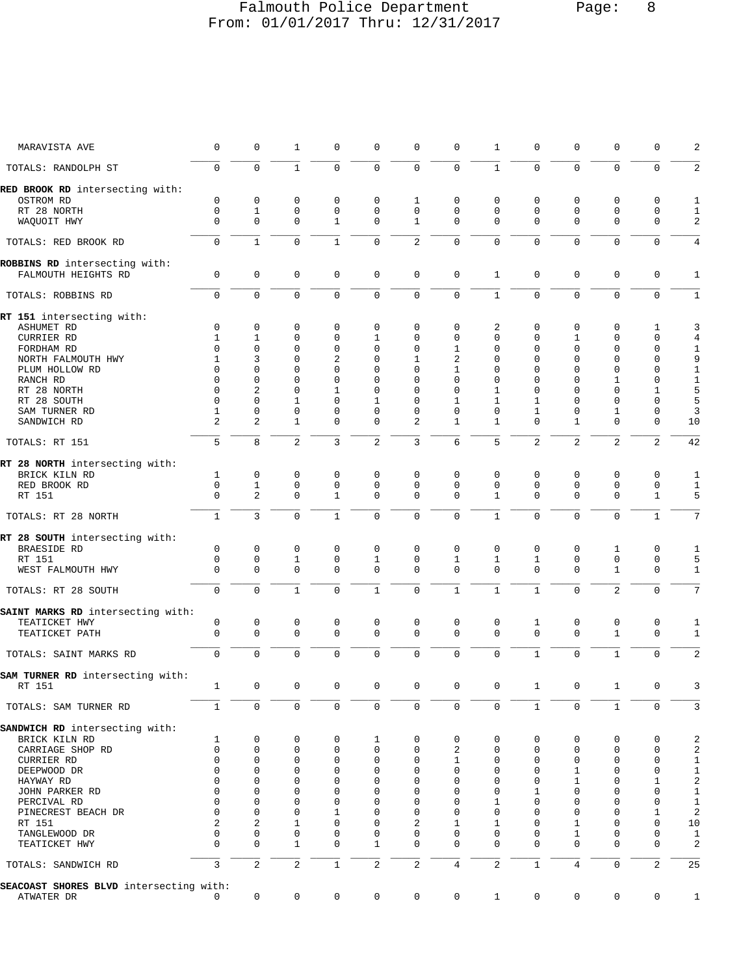### Falmouth Police Department Page: 8 From: 01/01/2017 Thru: 12/31/2017

| MARAVISTA AVE                                        | 0                   | 0              | 1              | 0            | 0              | 0              | $\mathbf 0$    | 1              | 0              | $\mathbf 0$    | 0              | 0              | 2                 |
|------------------------------------------------------|---------------------|----------------|----------------|--------------|----------------|----------------|----------------|----------------|----------------|----------------|----------------|----------------|-------------------|
| TOTALS: RANDOLPH ST                                  | $\Omega$            | $\Omega$       | $\mathbf{1}$   | $\Omega$     | $\Omega$       | $\Omega$       | $\Omega$       | $\mathbf{1}$   | $\Omega$       | $\Omega$       | $\Omega$       | $\Omega$       | $\overline{a}$    |
| RED BROOK RD intersecting with:                      |                     |                |                |              |                |                |                |                |                |                |                |                |                   |
| OSTROM RD                                            | $\mathbf 0$         | $\mathbf 0$    | 0              | 0            | 0              | 1              | $\mathbf 0$    | 0              | 0              | $\mathbf 0$    | 0              | 0              | 1                 |
| RT 28 NORTH                                          | $\mathbf 0$         | $\mathbf{1}$   | $\mathbf 0$    | $\mathbf 0$  | $\mathbf 0$    | $\mathbf 0$    | $\mathbf 0$    | $\mathbf 0$    | $\mathbf 0$    | $\mathbf 0$    | $\mathbf{0}$   | $\mathbf 0$    | 1                 |
| WAQUOIT HWY                                          | $\Omega$            | 0              | $\Omega$       | $\mathbf{1}$ | 0              | $\mathbf{1}$   | $\Omega$       | $\Omega$       | $\Omega$       | $\mathbf 0$    | $\mathbf 0$    | $\mathbf 0$    | $\overline{a}$    |
| TOTALS: RED BROOK RD                                 | $\Omega$            | $\mathbf{1}$   | $\Omega$       | $\mathbf{1}$ | $\Omega$       | $\overline{2}$ | $\Omega$       | $\Omega$       | $\Omega$       | $\Omega$       | $\Omega$       | $\Omega$       | 4                 |
| ROBBINS RD intersecting with:<br>FALMOUTH HEIGHTS RD | $\mathsf{O}\xspace$ | $\mathbf 0$    | $\mathbf 0$    | 0            | $\mathsf 0$    | $\mathbf 0$    | $\mathbf 0$    | $\mathbf{1}$   | $\mathbf 0$    | $\mathbf 0$    | $\mathbf 0$    | $\mathbf 0$    | 1                 |
| TOTALS: ROBBINS RD                                   | $\mathbf 0$         | $\mathbf 0$    | $\mathbf 0$    | 0            | $\mathbf 0$    | $\mathbf 0$    | $\mathbf 0$    | $\mathbf{1}$   | $\mathbf 0$    | $\mathbf 0$    | $\mathbf 0$    | $\mathbf 0$    | $\mathbf{1}$      |
| RT 151 intersecting with:                            |                     |                |                |              |                |                |                |                |                |                |                |                |                   |
| ASHUMET RD                                           | $\mathbf 0$         | 0              | $\mathbf 0$    | $\mathbf 0$  | $\mathbf{0}$   | $\mathbf 0$    | $\mathbf{0}$   | 2              | 0              | $\mathbf 0$    | 0              | 1              | 3                 |
| CURRIER RD                                           | $\mathbf{1}$        | $\mathbf{1}$   | $\Omega$       | $\Omega$     | $\mathbf{1}$   | $\mathbf 0$    | $\Omega$       | $\Omega$       | $\Omega$       | $\mathbf{1}$   | $\mathbf{0}$   | $\mathbf 0$    | $\overline{4}$    |
| FORDHAM RD                                           | $\Omega$            | 0              | $\mathbf 0$    | $\mathbf 0$  | 0              | 0              | 1              | 0              | $\Omega$       | $\mathbf 0$    | $\mathbf{0}$   | 0              | $\mathbf{1}$      |
| NORTH FALMOUTH HWY                                   | 1                   | 3              | $\mathbf 0$    | 2            | 0              | 1              | 2              | $\Omega$       | $\Omega$       | $\mathbf 0$    | $\mathbf{0}$   | 0              | 9                 |
| PLUM HOLLOW RD                                       | $\Omega$            | 0              | $\Omega$       | $\mathbf 0$  | $\Omega$       | $\Omega$       | $\mathbf{1}$   | 0              | $\Omega$       | $\Omega$       | $\mathbf{0}$   | $\mathbf 0$    | $\mathbf{1}$      |
| RANCH RD                                             | $\Omega$            | 0              | $\Omega$       | $\Omega$     | 0              | 0              | $\Omega$       | 0              | $\Omega$       | $\Omega$       | $\mathbf{1}$   | $\mathbf 0$    | $\mathbf{1}$      |
| RT 28 NORTH                                          | $\Omega$            | $\overline{2}$ | $\Omega$       | 1            | $\Omega$       | $\Omega$       | $\Omega$       | 1              | $\Omega$       | $\Omega$       | $\Omega$       | 1              | 5                 |
| RT 28 SOUTH                                          | $\mathbf 0$         | 0              | $\mathbf{1}$   | $\Omega$     | $\mathbf{1}$   | $\mathbf 0$    | $\mathbf{1}$   | $\mathbf{1}$   | $\mathbf{1}$   | $\Omega$       | $\mathbf{0}$   | 0              | 5                 |
| SAM TURNER RD                                        | 1                   | 0              | $\mathbf 0$    | $\mathbf 0$  | $\mathbf 0$    | $\mathbf 0$    | $\mathbf{0}$   | 0              | $\mathbf{1}$   | 0              | $\mathbf{1}$   | 0              | 3                 |
| SANDWICH RD                                          | $\overline{a}$      | $\overline{2}$ | $\mathbf{1}$   | $\mathbf 0$  | 0              | $\overline{2}$ | $\mathbf{1}$   | 1              | $\Omega$       | $\mathbf{1}$   | $\mathbf{0}$   | 0              | 10                |
| TOTALS: RT 151                                       | 5                   | 8              | $\overline{2}$ | 3            | $\overline{c}$ | 3              | 6              | 5              | $\overline{a}$ | 2              | 2              | 2              | 42                |
| RT 28 NORTH intersecting with:                       |                     |                |                |              |                |                |                |                |                |                |                |                |                   |
| BRICK KILN RD                                        | $\mathbf{1}$        | $\mathbf 0$    | $\mathbf 0$    | $\mathbf 0$  | $\mathbf{0}$   | $\mathbf 0$    | $\mathbf{0}$   | 0              | $\mathbf 0$    | $\mathbf 0$    | $\mathbf 0$    | $\mathbf 0$    | $1\,$             |
| RED BROOK RD                                         | $\mathbf 0$         | $\mathbf{1}$   | $\mathbf 0$    | $\mathbf 0$  | $\mathbf 0$    | $\mathbf 0$    | $\mathbf 0$    | 0              | $\mathbf 0$    | $\mathbf 0$    | $\mathbf 0$    | $\mathbf 0$    | $\mathbf{1}$      |
| RT 151                                               | $\Omega$            | $\overline{c}$ | $\mathbf 0$    | $\mathbf{1}$ | $\mathbf{0}$   | $\mathbf 0$    | $\Omega$       | $\mathbf{1}$   | $\mathbf 0$    | $\mathbf 0$    | $\mathbf{0}$   | $\mathbf{1}$   | 5                 |
| TOTALS: RT 28 NORTH                                  | $\mathbf{1}$        | $\overline{3}$ | $\mathbf 0$    | $\mathbf{1}$ | 0              | $\mathbf 0$    | $\mathbf 0$    | $\mathbf{1}$   | 0              | $\mathbf 0$    | $\mathbf{0}$   | $\mathbf{1}$   | 7                 |
| RT 28 SOUTH intersecting with:                       |                     |                |                |              |                |                |                |                |                |                |                |                |                   |
| BRAESIDE RD                                          | $\mathbf 0$         | $\mathbf 0$    | $\mathbf 0$    | $\mathbf 0$  | $\mathbf{0}$   | $\mathbf 0$    | $\mathbf 0$    | 0              | $\mathbf 0$    | $\mathbf 0$    | 1              | $\mathbf 0$    | 1                 |
| RT 151                                               | $\mathbf 0$         | 0              | $\mathbf{1}$   | $\mathbf 0$  | 1              | $\mathbf 0$    | 1              | 1              | 1              | $\mathbf 0$    | $\mathbf 0$    | $\mathbf 0$    | 5                 |
| WEST FALMOUTH HWY                                    | $\mathbf 0$         | 0              | $\mathbf 0$    | $\mathbf 0$  | $\mathbf{0}$   | $\mathbf 0$    | $\Omega$       | 0              | $\Omega$       | $\mathbf 0$    | $\mathbf{1}$   | $\mathbf 0$    | $\mathbf{1}$      |
| TOTALS: RT 28 SOUTH                                  | $\mathbf 0$         | $\mathbf 0$    | $\mathbf{1}$   | $\mathbf 0$  | $\mathbf{1}$   | $\mathbf 0$    | $\mathbf{1}$   | $\mathbf{1}$   | $\mathbf{1}$   | $\mathbf 0$    | $\overline{a}$ | $\mathbf 0$    | 7                 |
|                                                      |                     |                |                |              |                |                |                |                |                |                |                |                |                   |
| SAINT MARKS RD intersecting with:<br>TEATICKET HWY   | $\mathbf 0$         | $\mathbf 0$    | $\mathbf 0$    | $\mathsf 0$  | $\mathsf 0$    | $\mathbf 0$    | $\mathbf 0$    | $\mathsf 0$    |                | $\mathsf 0$    | $\mathbf 0$    | $\mathbf 0$    |                   |
|                                                      | $\mathbf 0$         | $\mathbf 0$    | $\Omega$       | $\mathbf 0$  | $\mathbf 0$    | $\mathbf 0$    | $\Omega$       | 0              | 1<br>$\Omega$  | $\mathbf 0$    | $\mathbf{1}$   | $\mathbf 0$    | 1<br>$\mathbf{1}$ |
| TEATICKET PATH                                       |                     |                |                |              |                |                |                |                |                |                |                |                |                   |
| TOTALS: SAINT MARKS RD                               | $\mathbf 0$         | $\Omega$       | $\Omega$       | 0            | $\mathbf 0$    | $\mathbf 0$    | $\mathbf{0}$   | 0              | $\mathbf{1}$   | $\mathbf 0$    | $\mathbf{1}$   | $\mathbf 0$    | $\overline{a}$    |
| SAM TURNER RD intersecting with:                     |                     |                |                |              |                |                |                |                |                |                |                |                |                   |
| RT 151                                               | $\mathbf{1}$        | 0              | $\mathsf 0$    | 0            | 0              | $\mathbf 0$    | $\mathbf{0}$   | 0              | $\mathbf{1}$   | $\mathsf 0$    | $\mathbf{1}$   | $\mathbf 0$    | 3                 |
| TOTALS: SAM TURNER RD                                | $\mathbf{1}$        | $\mathbf 0$    | $\mathbf 0$    | $\mathbf 0$  | $\mathbf 0$    | $\mathbf 0$    | $\mathbf 0$    | $\mathbf 0$    | $\mathbf{1}$   | $\mathbf 0$    | $\mathbf{1}$   | $\mathbf 0$    | 3                 |
| SANDWICH RD intersecting with:                       |                     |                |                |              |                |                |                |                |                |                |                |                |                   |
| BRICK KILN RD                                        | 1                   | 0              | 0              | 0            | 1              | $\mathbf 0$    | $\mathbf 0$    | 0              | 0              | 0              | $\mathbf 0$    | 0              | $\sqrt{2}$        |
| CARRIAGE SHOP RD                                     | $\mathbf 0$         | 0              | $\mathbf 0$    | $\mathbf 0$  | 0              | $\mathbf 0$    | 2              | 0              | $\mathbf 0$    | $\mathbf 0$    | $\mathbf{0}$   | $\mathbf 0$    | $\overline{a}$    |
| CURRIER RD                                           | $\Omega$            | 0              | 0              | $\mathbf 0$  | 0              | $\mathbf 0$    | 1              | 0              | 0              | 0              | $\mathbf 0$    | 0              | $\mathbf{1}$      |
| DEEPWOOD DR                                          | $\Omega$            | 0              | $\Omega$       | $\Omega$     | $\Omega$       | 0              | $\Omega$       | $\Omega$       | $\Omega$       | 1              | $\mathbf 0$    | 0              | $1\,$             |
| HAYWAY RD                                            | $\Omega$            | 0              | $\Omega$       | $\Omega$     | $\Omega$       | $\mathbf 0$    | $\Omega$       | 0              | 0              | $\mathbf{1}$   | $\Omega$       | $\mathbf{1}$   | $\sqrt{2}$        |
| JOHN PARKER RD                                       | 0                   | 0              | $\Omega$       | 0            | 0              | 0              | 0              | 0              | 1              | $\mathbf 0$    | $\Omega$       | 0              | $\mathbf{1}$      |
| PERCIVAL RD                                          | $\Omega$            | 0              | $\Omega$       | $\Omega$     | 0              | 0              | $\Omega$       | 1              | $\Omega$       | 0              | $\Omega$       | 0              | $1\,$             |
| PINECREST BEACH DR                                   | $\Omega$            | 0              | $\Omega$       | $\mathbf{1}$ | $\Omega$       | $\mathbf 0$    | $\Omega$       | 0              | $\Omega$       | $\mathbf 0$    | $\Omega$       | $\mathbf{1}$   | 2                 |
| RT 151                                               | 2                   | 2              | 1              | $\mathbf 0$  | 0              | 2              | 1              | 1              | $\Omega$       | 1              | $\Omega$       | 0              | 10                |
| TANGLEWOOD DR                                        | $\Omega$            | 0              | $\mathbf 0$    | 0            | 0              | 0              | $\Omega$       | 0              | $\Omega$       | 1              | $\mathbf 0$    | 0              | 1                 |
| TEATICKET HWY                                        | $\Omega$            | 0              | $\mathbf{1}$   | $\mathbf 0$  | $\mathbf{1}$   | $\mathbf 0$    | $\Omega$       | 0              | $\Omega$       | $\mathbf 0$    | $\mathbf 0$    | $\mathbf 0$    | $\sqrt{2}$        |
| TOTALS: SANDWICH RD                                  | $\overline{3}$      | $\overline{2}$ | $\overline{c}$ | $\mathbf{1}$ | $\overline{2}$ | $\overline{2}$ | $\overline{4}$ | $\overline{c}$ | $\mathbf{1}$   | $\overline{4}$ | $\mathbf 0$    | $\overline{c}$ | 25                |
| SEACOAST SHORES BLVD intersecting with:              |                     |                |                |              |                |                |                |                |                |                |                |                |                   |
| ATWATER DR                                           | 0                   | 0              | 0              | 0            | 0              | $\mathbf 0$    | $\mathbf 0$    | $\mathbf{1}$   | $\mathsf{O}$   | $\mathbf 0$    | $\mathbf 0$    | $\mathbf 0$    | 1                 |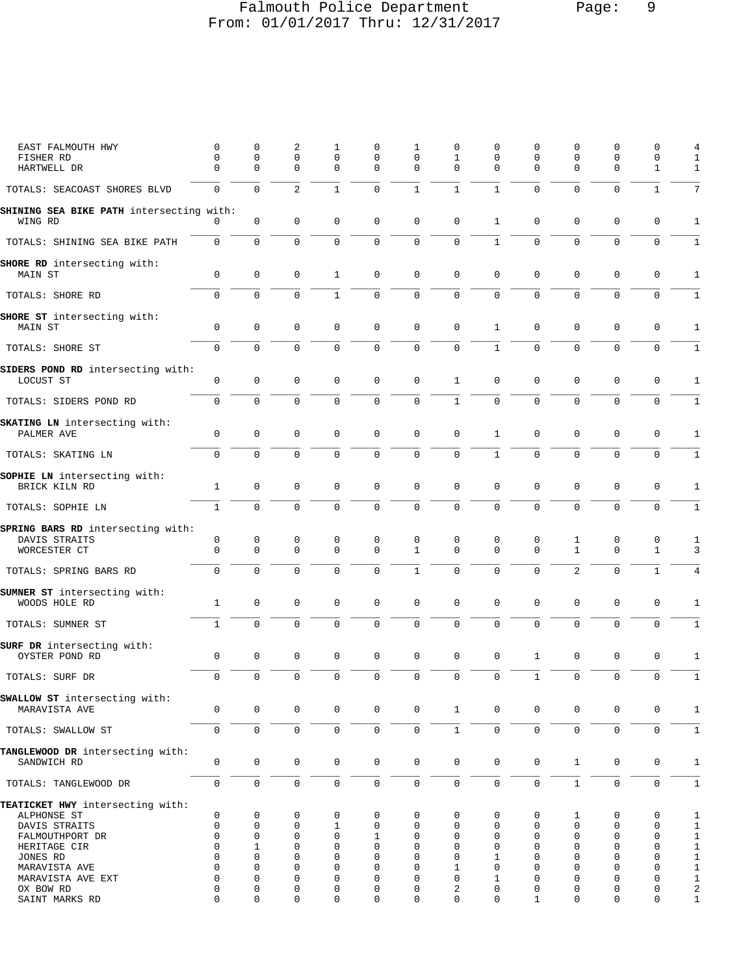# Falmouth Police Department Page: 9 From: 01/01/2017 Thru: 12/31/2017

| EAST FALMOUTH HWY<br>FISHER RD<br>HARTWELL DR                                                       | 0<br>0<br>$\mathbf 0$                         | 0<br>0<br>0                                   | 2<br>$\mathbf 0$<br>$\mathbf 0$                      | 1<br>$\mathsf 0$<br>$\mathbf 0$                         | 0<br>0<br>$\mathbf 0$                                                | 1<br>0<br>$\mathbf 0$                | 0<br>1<br>$\Omega$                         | 0<br>0<br>0                  | 0<br>0<br>$\mathbf 0$                          | 0<br>0<br>$\mathbf{0}$                                          | 0<br>0<br>$\mathbf 0$                                   | $\mathbf 0$<br>0<br>$\mathbf{1}$                              | 4<br>1<br>1                                                               |
|-----------------------------------------------------------------------------------------------------|-----------------------------------------------|-----------------------------------------------|------------------------------------------------------|---------------------------------------------------------|----------------------------------------------------------------------|--------------------------------------|--------------------------------------------|------------------------------|------------------------------------------------|-----------------------------------------------------------------|---------------------------------------------------------|---------------------------------------------------------------|---------------------------------------------------------------------------|
| TOTALS: SEACOAST SHORES BLVD                                                                        | $\mathbf 0$                                   | $\mathbf 0$                                   | $\overline{2}$                                       | $\mathbf{1}$                                            | $\Omega$                                                             | $\mathbf{1}$                         | $\mathbf{1}$                               | $\mathbf{1}$                 | $\mathbf 0$                                    | $\Omega$                                                        | $\Omega$                                                | $\mathbf{1}$                                                  | 7                                                                         |
| SHINING SEA BIKE PATH intersecting with:<br>WING RD                                                 | 0                                             | $\mathbf 0$                                   | $\mathbf 0$                                          | $\mathbf 0$                                             | $\mathbf 0$                                                          | $\mathbf 0$                          | $\mathbf 0$                                | 1                            | $\mathsf 0$                                    | $\mathbf{0}$                                                    | $\mathbf 0$                                             | $\mathbf 0$                                                   | $\mathbf{1}$                                                              |
| TOTALS: SHINING SEA BIKE PATH                                                                       | 0                                             | $\mathsf{O}\xspace$                           | $\mathsf 0$                                          | $\mathbf 0$                                             | $\mathsf{O}\xspace$                                                  | $\mathsf 0$                          | $\mathbf 0$                                | $\mathbf 1$                  | $\mathbf 0$                                    | $\mathbf 0$                                                     | $\mathbf 0$                                             | $\mathsf{O}\xspace$                                           | $\mathbf{1}$                                                              |
| SHORE RD intersecting with:<br>MAIN ST                                                              | 0                                             | $\mathbf 0$                                   | 0                                                    | 1                                                       | $\mathbf 0$                                                          | $\mathbf 0$                          | $\mathbf 0$                                | 0                            | $\mathbf 0$                                    | $\mathbf 0$                                                     | $\mathbf 0$                                             | $\mathbf 0$                                                   | 1                                                                         |
| TOTALS: SHORE RD                                                                                    | $\mathbf 0$                                   | $\mathbf 0$                                   | $\mathbf 0$                                          | $\mathbf{1}$                                            | $\mathbf 0$                                                          | $\mathbf 0$                          | $\mathbf 0$                                | $\mathbf 0$                  | $\mathbf 0$                                    | $\mathbf{0}$                                                    | $\mathbf 0$                                             | $\mathbf 0$                                                   | $\mathbf{1}$                                                              |
| SHORE ST intersecting with:<br>MAIN ST                                                              | $\mathsf 0$                                   | $\mathsf 0$                                   | $\mathbf 0$                                          | 0                                                       | $\mathbf 0$                                                          | $\mathbf 0$                          | $\mathbf 0$                                | $\mathbf{1}$                 | $\mathbf 0$                                    | $\mathbf 0$                                                     | 0                                                       | $\mathsf 0$                                                   | $\mathbf{1}$                                                              |
| TOTALS: SHORE ST                                                                                    | 0                                             | $\mathbf 0$                                   | $\mathbf 0$                                          | $\mathbf 0$                                             | $\mathbf 0$                                                          | $\mathbf 0$                          | 0                                          | $\mathbf{1}$                 | $\mathbf 0$                                    | $\mathbf 0$                                                     | $\mathbf 0$                                             | $\mathbf 0$                                                   | 1                                                                         |
| SIDERS POND RD intersecting with:<br>LOCUST ST                                                      | $\mathbf 0$                                   | $\mathsf 0$                                   | $\mathbf 0$                                          | $\mathbf 0$                                             | $\mathbf 0$                                                          | $\mathsf 0$                          | $\mathbf{1}$                               | 0                            | $\mathbf 0$                                    | $\mathbf{0}$                                                    | $\mathsf 0$                                             | $\mathbf 0$                                                   | $\mathbf{1}$                                                              |
| TOTALS: SIDERS POND RD                                                                              | $\mathbf 0$                                   | $\mathsf{O}\xspace$                           | $\mathbf 0$                                          | $\mathbf 0$                                             | $\mathsf 0$                                                          | $\mathsf 0$                          | $\mathbf{1}$                               | $\overline{0}$               | $\mathsf 0$                                    | $\mathsf{O}\xspace$                                             | $\mathbf 0$                                             | $\mathsf 0$                                                   | 1                                                                         |
| SKATING LN intersecting with:<br>PALMER AVE                                                         | 0                                             | $\mathbf 0$                                   | $\mathbf 0$                                          | 0                                                       | $\mathbf 0$                                                          | $\mathbf 0$                          | $\mathbf 0$                                | $\mathbf{1}$                 | 0                                              | $\mathbf 0$                                                     | $\mathbf 0$                                             | $\mathbf 0$                                                   | 1                                                                         |
| TOTALS: SKATING LN                                                                                  | $\overline{0}$                                | $\mathbf 0$                                   | $\mathbf 0$                                          | $\Omega$                                                | $\mathbf 0$                                                          | $\mathbf 0$                          | $\mathbf 0$                                | $\mathbf{1}$                 | $\mathbf 0$                                    | $\mathbf 0$                                                     | $\Omega$                                                | $\mathbf 0$                                                   | $\mathbf{1}$                                                              |
| SOPHIE LN intersecting with:<br>BRICK KILN RD                                                       | 1                                             | $\mathbf 0$                                   | $\mathbf 0$                                          | 0                                                       | $\mathbf 0$                                                          | $\mathbf 0$                          | $\mathbf 0$                                | 0                            | 0                                              | $\mathbf 0$                                                     | 0                                                       | $\mathsf 0$                                                   | $\mathbf{1}$                                                              |
| TOTALS: SOPHIE LN                                                                                   | $\mathbf{1}$                                  | $\mathbf 0$                                   | $\mathbf 0$                                          | $\mathbf 0$                                             | $\mathbf 0$                                                          | $\mathsf 0$                          | 0                                          | $\mathbf 0$                  | $\mathbf 0$                                    | $\mathbf 0$                                                     | $\mathbf 0$                                             | $\mathsf{O}\xspace$                                           | 1                                                                         |
| SPRING BARS RD intersecting with:<br>DAVIS STRAITS<br>WORCESTER CT                                  | 0<br>$\mathbf 0$<br>$\mathbf{0}$              | 0<br>$\mathbf 0$<br>$\mathbf 0$               | 0<br>$\mathbf 0$<br>$\Omega$                         | 0<br>$\mathbf 0$<br>$\mathbf 0$                         | $\mathbf 0$<br>$\mathbf 0$<br>$\mathbf 0$                            | 0<br>$\mathbf{1}$<br>$\mathbf{1}$    | 0<br>$\mathbf 0$<br>$\Omega$               | 0<br>0<br>$\mathbf 0$        | 0<br>$\mathbf 0$<br>$\mathbf 0$                | 1<br>$\mathbf{1}$<br>2                                          | 0<br>$\mathbf 0$<br>$\mathbf 0$                         | 0<br>$\mathbf{1}$<br>$\mathbf{1}$                             | $\mathbf{1}$<br>3                                                         |
| TOTALS: SPRING BARS RD                                                                              |                                               |                                               |                                                      |                                                         |                                                                      |                                      |                                            |                              |                                                |                                                                 |                                                         |                                                               | 4                                                                         |
| SUMNER ST intersecting with:<br>WOODS HOLE RD                                                       | $\mathbf{1}$                                  | $\mathsf 0$                                   | $\mathbf 0$                                          | 0                                                       | $\mathbf 0$                                                          | 0                                    | $\mathbf 0$                                | 0                            | $\mathsf 0$                                    | $\mathbf 0$                                                     | $\mathsf 0$                                             | $\mathsf 0$                                                   | 1                                                                         |
| TOTALS: SUMNER ST                                                                                   | $\mathbf{1}$                                  | $\mathbf 0$                                   | $\mathbf 0$                                          | $\mathbf 0$                                             | $\mathsf{O}\xspace$                                                  | $\mathsf 0$                          | $\mathbf 0$                                | $\mathbf 0$                  | $\mathbf 0$                                    | $\mathbf 0$                                                     | $\mathbf 0$                                             | $\mathsf 0$                                                   | 1                                                                         |
| SURF DR intersecting with:<br>OYSTER POND RD                                                        | 0                                             | $\mathbf 0$                                   | 0                                                    | 0                                                       | $\mathbf 0$                                                          | $\mathbf 0$                          | 0                                          | 0                            | $\mathbf{1}$                                   | 0                                                               | 0                                                       | 0                                                             | $\mathbf{1}$                                                              |
| TOTALS: SURF DR                                                                                     | 0                                             | $\mathbf 0$                                   | $\mathbf 0$                                          | $\mathbf 0$                                             | $\mathbf 0$                                                          | $\mathsf 0$                          | 0                                          | 0                            | $\mathbf 1$                                    | $\mathbf 0$                                                     | $\mathbf 0$                                             | $\mathbf 0$                                                   | 1                                                                         |
| SWALLOW ST intersecting with:<br>MARAVISTA AVE                                                      | $\mathsf 0$                                   | $\mathsf{O}$                                  | $\mathbf 0$                                          | 0                                                       | $\mathsf{O}\xspace$                                                  | $\mathbf 0$                          | $\mathbf{1}$                               | $\mathsf 0$                  | 0                                              | 0                                                               | $\mathbf 0$                                             | $\mathbf 0$                                                   | 1                                                                         |
| TOTALS: SWALLOW ST                                                                                  | $\mathbf 0$                                   | $\mathsf 0$                                   | $\mathsf{O}\xspace$                                  | $\mathsf{O}\xspace$                                     | $\mathsf{O}\xspace$                                                  | $\mathsf 0$                          | $\mathbf{1}$                               | $\mathbf{0}$                 | $\mathsf{O}$                                   | $\mathsf{O}\xspace$                                             | $\mathsf{O}$                                            | $\mathsf{O}\xspace$                                           | $\mathbf{1}$                                                              |
| TANGLEWOOD DR intersecting with:<br>SANDWICH RD                                                     | 0                                             | $\mathsf{O}$                                  | $\mathbf 0$                                          | $\mathbf 0$                                             | $\mathbf 0$                                                          | $\mathbf 0$                          | $\mathsf{O}$                               | 0                            | 0                                              | $\mathbf{1}$                                                    | $\mathbf 0$                                             | $\mathbf 0$                                                   | $\mathbf{1}$                                                              |
| TOTALS: TANGLEWOOD DR                                                                               | $\mathbf 0$                                   | $\mathsf 0$                                   | $\mathsf{O}\xspace$                                  | $\mathbf 0$                                             | $\mathsf 0$                                                          | $\mathsf 0$                          | $\mathbf 0$                                | $\mathbf{0}$                 | $\mathbf 0$                                    | $1\,$                                                           | $\mathbf 0$                                             | $\mathsf{O}\xspace$                                           | $\mathbf{1}$                                                              |
| TEATICKET HWY intersecting with:<br>ALPHONSE ST<br>DAVIS STRAITS<br>FALMOUTHPORT DR<br>HERITAGE CIR | 0<br>$\mathbf 0$<br>$\mathbf 0$<br>$\Omega$   | 0<br>0<br>$\mathbf 0$<br>1                    | 0<br>$\mathbf 0$<br>$\mathbf 0$<br>$\Omega$          | 0<br>1<br>$\mathbf 0$<br>$\Omega$                       | 0<br>$\mathbf 0$<br>$\mathbf{1}$<br>$\Omega$                         | 0<br>$\mathbf 0$<br>$\mathbf 0$<br>0 | 0<br>0<br>$\mathbf 0$<br>0                 | 0<br>0<br>0<br>$\Omega$      | 0<br>0<br>0<br>$\Omega$                        | 1<br>$\mathbf{0}$<br>$\mathbf{0}$<br>$\Omega$                   | 0<br>$\mathbf 0$<br>$\Omega$<br>$\Omega$                | 0<br>$\mathbf 0$<br>$\mathbf 0$<br>$\mathbf 0$                | $\mathbf{1}$<br>$\mathbf{1}$<br>$\mathbf{1}$<br>$\mathbf{1}$              |
| JONES RD<br>MARAVISTA AVE<br>MARAVISTA AVE EXT<br>OX BOW RD<br>SAINT MARKS RD                       | $\Omega$<br>$\Omega$<br>0<br>0<br>$\mathbf 0$ | $\Omega$<br>$\Omega$<br>0<br>0<br>$\mathbf 0$ | $\Omega$<br>$\Omega$<br>$\Omega$<br>0<br>$\mathbf 0$ | $\Omega$<br>$\Omega$<br>$\mathbf 0$<br>0<br>$\mathbf 0$ | $\Omega$<br>$\mathbf 0$<br>$\mathbf 0$<br>$\mathbf 0$<br>$\mathbf 0$ | 0<br>0<br>0<br>0<br>0                | $\mathbf 0$<br>$\mathbf{1}$<br>0<br>2<br>0 | 1<br>$\Omega$<br>1<br>0<br>0 | $\Omega$<br>$\Omega$<br>0<br>0<br>$\mathbf{1}$ | $\Omega$<br>$\Omega$<br>$\Omega$<br>$\mathbf 0$<br>$\mathbf{0}$ | $\Omega$<br>$\Omega$<br>$\mathbf 0$<br>0<br>$\mathbf 0$ | $\mathbf 0$<br>$\mathbf 0$<br>0<br>$\mathbf 0$<br>$\mathbf 0$ | $1\,$<br>$1\,$<br>$\mathbf{1}$<br>$\overline{\mathbf{c}}$<br>$\mathbf{1}$ |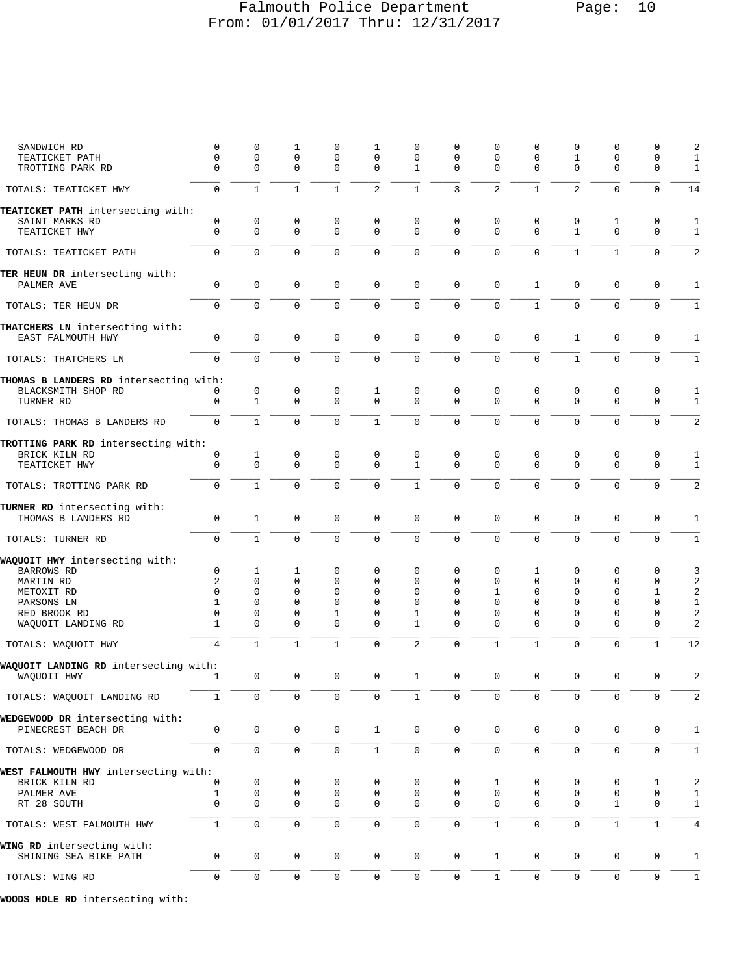## Falmouth Police Department Page: 10 From: 01/01/2017 Thru: 12/31/2017

| SANDWICH RD                                           | 0            | 0                   | 1            | 0            | 1                   | 0              | $\Omega$     | 0              | 0            | $\mathbf 0$         | 0                   | 0            | 2                       |
|-------------------------------------------------------|--------------|---------------------|--------------|--------------|---------------------|----------------|--------------|----------------|--------------|---------------------|---------------------|--------------|-------------------------|
| TEATICKET PATH                                        | $\mathbf 0$  | 0                   | $\mathbf 0$  | 0            | 0                   | 0              | $\Omega$     | $\mathbf 0$    | 0            | $\mathbf{1}$        | $\Omega$            | 0            | $1\,$                   |
| TROTTING PARK RD                                      | $\Omega$     | $\mathbf{0}$        | $\Omega$     | $\Omega$     | $\Omega$            | $\mathbf{1}$   | $\Omega$     | $\Omega$       | $\Omega$     | $\Omega$            | $\Omega$            | $\mathbf 0$  | $\mathbf{1}$            |
| TOTALS: TEATICKET HWY                                 | $\mathbf 0$  | $\mathbf{1}$        | $\mathbf{1}$ | $\mathbf{1}$ | 2                   | $\mathbf{1}$   | 3            | $\overline{a}$ | $\mathbf{1}$ | $\overline{a}$      | $\mathbf 0$         | $\mathbf 0$  | 14                      |
| TEATICKET PATH intersecting with:                     |              |                     |              |              |                     |                |              |                |              |                     |                     |              |                         |
| SAINT MARKS RD                                        | 0            | 0                   | 0            | 0            | 0                   | 0              | 0            | 0              | 0            | 0                   | 1                   | 0            | 1                       |
| TEATICKET HWY                                         | $\mathbf 0$  | $\mathbf 0$         | $\Omega$     | $\Omega$     | $\Omega$            | $\Omega$       | $\Omega$     | $\Omega$       | $\mathbf 0$  | $\mathbf{1}$        | $\Omega$            | $\mathbf 0$  | $\mathbf{1}$            |
| TOTALS: TEATICKET PATH                                | $\mathbf 0$  | $\mathbf{0}$        | $\mathbf 0$  | 0            | $\mathbf 0$         | $\mathbf 0$    | $\Omega$     | $\mathbf 0$    | $\mathbf 0$  | 1                   | 1                   | 0            | $\overline{2}$          |
| TER HEUN DR intersecting with:                        |              |                     |              |              |                     |                |              |                |              |                     |                     |              |                         |
| PALMER AVE                                            | $\Omega$     | $\mathbf 0$         | $\Omega$     | $\mathbf 0$  | $\mathbf 0$         | $\mathbf 0$    | $\Omega$     | $\mathbf 0$    | $\mathbf{1}$ | $\mathbf 0$         | $\mathbf 0$         | $\mathsf 0$  | 1                       |
| TOTALS: TER HEUN DR                                   | $\Omega$     | $\Omega$            | $\Omega$     | $\Omega$     | 0                   | $\mathbf 0$    | $\Omega$     | $\mathbf 0$    | $\mathbf{1}$ | $\Omega$            | $\Omega$            | $\mathbf 0$  | $\mathbf{1}$            |
| THATCHERS LN intersecting with:                       |              |                     |              |              |                     |                |              |                |              |                     |                     |              |                         |
| EAST FALMOUTH HWY                                     | $\mathbf 0$  | $\mathsf 0$         | $\Omega$     | 0            | 0                   | $\mathbf 0$    | $\mathbf 0$  | $\mathbf 0$    | 0            | $\mathbf 1$         | 0                   | 0            | 1                       |
| TOTALS: THATCHERS LN                                  | $\Omega$     | $\Omega$            | $\Omega$     | $\Omega$     | $\Omega$            | $\Omega$       | $\Omega$     | $\Omega$       | $\Omega$     | $\mathbf{1}$        | $\Omega$            | $\mathbf 0$  | 1                       |
| THOMAS B LANDERS RD intersecting with:                |              |                     |              |              |                     |                |              |                |              |                     |                     |              |                         |
| BLACKSMITH SHOP RD                                    | 0            | 0                   | $\mathbf 0$  | 0            | 1                   | 0              | $\Omega$     | $\mathbf 0$    | 0            | $\mathbf 0$         | $\mathbf 0$         | $\mathsf 0$  | 1                       |
| TURNER RD                                             | $\mathbf 0$  | $\mathbf{1}$        | $\Omega$     | $\Omega$     | $\Omega$            | $\Omega$       | $\Omega$     | $\Omega$       | $\Omega$     | $\Omega$            | $\Omega$            | $\mathbf 0$  | 1                       |
| TOTALS: THOMAS B LANDERS RD                           | $\Omega$     | $\mathbf{1}$        | $\Omega$     | $\Omega$     | $\mathbf{1}$        | 0              | $\Omega$     | 0              | $\Omega$     | $\Omega$            | $\Omega$            | $\mathbf 0$  | $\overline{2}$          |
| TROTTING PARK RD intersecting with:                   |              |                     |              |              |                     |                |              |                |              |                     |                     |              |                         |
| BRICK KILN RD                                         | 0            | $\mathbf{1}$        | 0            | 0            | 0                   | 0              | 0            | 0              | 0            | $\mathbf 0$         | $\mathbf 0$         | 0            |                         |
| TEATICKET HWY                                         | $\Omega$     | $\Omega$            | $\Omega$     | $\Omega$     | $\Omega$            | $\mathbf{1}$   | $\Omega$     | $\Omega$       | $\Omega$     | $\Omega$            | $\Omega$            | $\Omega$     | 1                       |
| TOTALS: TROTTING PARK RD                              | $\mathbf 0$  | $\mathbf{1}$        | $\Omega$     | $\Omega$     | $\mathbf 0$         | $\mathbf{1}$   | $\Omega$     | $\mathbf 0$    | $\mathbf 0$  | $\mathbf 0$         | $\Omega$            | $\Omega$     | $\overline{2}$          |
| TURNER RD intersecting with:                          |              |                     |              |              |                     |                |              |                |              |                     |                     |              |                         |
| THOMAS B LANDERS RD                                   | $\mathbf 0$  | $\mathbf{1}$        | $\mathbf 0$  | 0            | $\mathsf{O}\xspace$ | $\mathbf 0$    | $\mathbf{0}$ | $\mathbf 0$    | $\mathbf 0$  | $\mathbf 0$         | $\mathbf 0$         | 0            | $\mathbf{1}$            |
| TOTALS: TURNER RD                                     | 0            | $\mathbf{1}$        | 0            | 0            | 0                   | $\mathbf 0$    | $\mathbf 0$  | 0              | $\Omega$     | $\Omega$            | $\Omega$            | $\mathbf 0$  | $\mathbf{1}$            |
| WAQUOIT HWY intersecting with:                        |              |                     |              |              |                     |                |              |                |              |                     |                     |              |                         |
| BARROWS RD                                            | $\mathbf 0$  | 1                   | 1            | 0            | $\Omega$            | 0              | 0            | $\mathbf 0$    | 1            | $\mathbf 0$         | $\Omega$            | 0            | 3                       |
| MARTIN RD                                             | 2            | $\mathbf 0$         | $\mathbf 0$  | 0            | 0                   | 0              | $\Omega$     | $\Omega$       | $\mathbf 0$  | $\Omega$            | $\mathbf 0$         | 0            | $\overline{\mathbf{c}}$ |
| METOXIT RD                                            | $\Omega$     | 0                   | $\Omega$     | $\Omega$     | $\Omega$            | $\Omega$       | $\Omega$     | $\mathbf{1}$   | 0            | $\Omega$            | $\Omega$            | 1            | $\overline{\mathbf{c}}$ |
| PARSONS LN                                            | $\mathbf{1}$ | $\mathbf{0}$        | $\Omega$     | $\Omega$     | $\Omega$            | $\mathbf 0$    | $\Omega$     | $\Omega$       | $\Omega$     | $\Omega$            | $\Omega$            | $\mathbf 0$  | $\mathbf{1}$            |
| RED BROOK RD                                          | 0            | $\Omega$            | $\Omega$     | 1            | $\Omega$            | 1              | $\Omega$     | $\Omega$       | $\Omega$     | $\Omega$            | $\mathbf 0$         | 0            | $\overline{a}$          |
| WAQUOIT LANDING RD                                    | $\mathbf{1}$ | $\Omega$            | $\Omega$     | $\Omega$     | $\Omega$            | 1              | $\Omega$     | $\Omega$       | $\Omega$     | $\Omega$            | $\Omega$            | $\mathbf 0$  | $\overline{a}$          |
| TOTALS: WAQUOIT HWY                                   | 4            | $\mathbf{1}$        | $\mathbf{1}$ | $\mathbf{1}$ | $\mathbf 0$         | $\overline{2}$ | $\mathbf 0$  | $\mathbf{1}$   | $\mathbf{1}$ | $\Omega$            | $\Omega$            | $\mathbf{1}$ | 12                      |
| WAQUOIT LANDING RD intersecting with:                 |              |                     |              |              |                     |                |              |                |              |                     |                     |              |                         |
| WAQUOIT HWY                                           | 1            | $\mathbf 0$         | $\mathbf 0$  | $\mathbf 0$  | $\mathbf 0$         | $\mathbf{1}$   | $\mathbf 0$  | $\mathbf 0$    | $\mathbf 0$  | $\mathbf 0$         | 0                   | 0            | 2                       |
| TOTALS: WAQUOIT LANDING RD                            | $\perp$      | 0                   |              | 0            |                     |                |              | 0              |              |                     |                     | 0            |                         |
|                                                       |              |                     |              |              |                     |                |              |                |              |                     |                     |              |                         |
| WEDGEWOOD DR intersecting with:<br>PINECREST BEACH DR | 0            | $\mathbf 0$         | 0            | 0            | $\mathbf{1}$        | $\mathbf 0$    | $\mathbf 0$  | 0              | 0            | 0                   | 0                   | 0            | 1                       |
| TOTALS: WEDGEWOOD DR                                  | $\mathsf 0$  | $\mathsf{O}\xspace$ | $\mathsf 0$  | 0            | $\mathbf{1}$        | $\mathbf 0$    | $\mathbf 0$  | $\mathbf 0$    | $\mathbf 0$  | $\mathsf{O}\xspace$ | $\mathsf 0$         | 0            | $\mathbf{1}$            |
| WEST FALMOUTH HWY intersecting with:                  |              |                     |              |              |                     |                |              |                |              |                     |                     |              |                         |
| BRICK KILN RD                                         | 0            | 0                   | 0            | 0            | 0                   | 0              | 0            | 1              | 0            | 0                   | 0                   | 1            | $\overline{\mathbf{c}}$ |
| PALMER AVE                                            | $\mathbf{1}$ | 0                   | 0            | 0            | 0                   | 0              | 0            | $\mathsf 0$    | 0            | 0                   | $\mathbf 0$         | 0            | $\mathbf{1}$            |
| RT 28 SOUTH                                           | $\mathbf 0$  | $\mathbf 0$         | $\mathbf 0$  | $\mathbf 0$  | $\mathbf{0}$        | $\mathbf 0$    | $\Omega$     | $\mathbf 0$    | 0            | $\mathbf 0$         | $\mathbf{1}$        | 0            | $\mathbf{1}$            |
| TOTALS: WEST FALMOUTH HWY                             | 1            | $\mathbf 0$         | $\mathbf 0$  | 0            | 0                   | $\mathbf 0$    | $\mathbf 0$  | $\mathbf{1}$   | $\mathbf 0$  | $\mathbf 0$         | $\mathbf{1}$        | $\mathbf{1}$ | $\overline{4}$          |
| WING RD intersecting with:                            |              |                     |              |              |                     |                |              |                |              |                     |                     |              |                         |
| SHINING SEA BIKE PATH                                 | 0            | $\mathbf 0$         | 0            | 0            | 0                   | $\mathbf 0$    | 0            | $\mathbf{1}$   | 0            | 0                   | $\mathsf{O}\xspace$ | 0            | $1\,$                   |
| TOTALS: WING RD                                       | $\mathsf 0$  | $\mathsf 0$         | $\mathsf 0$  | 0            | $\mathsf{O}\xspace$ | $\mathsf 0$    | 0            | $\mathbf{1}$   | 0            | $\mathsf{O}\xspace$ | $\mathbf 0$         | 0            | $\mathbf{1}$            |
| WOODS HOLE RD intersecting with:                      |              |                     |              |              |                     |                |              |                |              |                     |                     |              |                         |
|                                                       |              |                     |              |              |                     |                |              |                |              |                     |                     |              |                         |